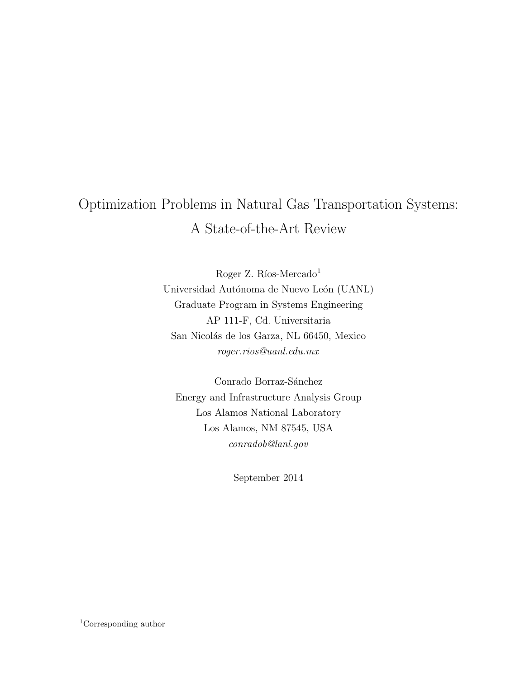# Optimization Problems in Natural Gas Transportation Systems: A State-of-the-Art Review

Roger Z. Ríos-Mercado<sup>1</sup> Universidad Autónoma de Nuevo León (UANL) Graduate Program in Systems Engineering AP 111-F, Cd. Universitaria San Nicolás de los Garza, NL 66450, Mexico roger.rios@uanl.edu.mx

Conrado Borraz-Sánchez Energy and Infrastructure Analysis Group Los Alamos National Laboratory Los Alamos, NM 87545, USA conradob@lanl.gov

September 2014

<sup>1</sup>Corresponding author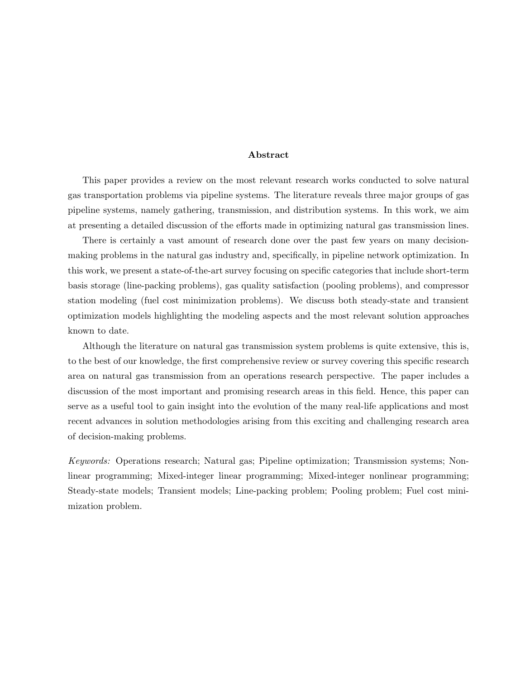# Abstract

This paper provides a review on the most relevant research works conducted to solve natural gas transportation problems via pipeline systems. The literature reveals three major groups of gas pipeline systems, namely gathering, transmission, and distribution systems. In this work, we aim at presenting a detailed discussion of the efforts made in optimizing natural gas transmission lines.

There is certainly a vast amount of research done over the past few years on many decisionmaking problems in the natural gas industry and, specifically, in pipeline network optimization. In this work, we present a state-of-the-art survey focusing on specific categories that include short-term basis storage (line-packing problems), gas quality satisfaction (pooling problems), and compressor station modeling (fuel cost minimization problems). We discuss both steady-state and transient optimization models highlighting the modeling aspects and the most relevant solution approaches known to date.

Although the literature on natural gas transmission system problems is quite extensive, this is, to the best of our knowledge, the first comprehensive review or survey covering this specific research area on natural gas transmission from an operations research perspective. The paper includes a discussion of the most important and promising research areas in this field. Hence, this paper can serve as a useful tool to gain insight into the evolution of the many real-life applications and most recent advances in solution methodologies arising from this exciting and challenging research area of decision-making problems.

*Keywords:* Operations research; Natural gas; Pipeline optimization; Transmission systems; Nonlinear programming; Mixed-integer linear programming; Mixed-integer nonlinear programming; Steady-state models; Transient models; Line-packing problem; Pooling problem; Fuel cost minimization problem.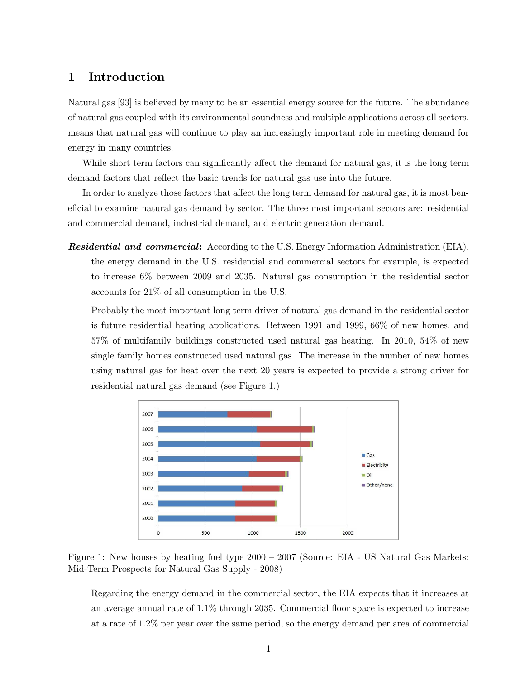# 1 Introduction

Natural gas [93] is believed by many to be an essential energy source for the future. The abundance of natural gas coupled with its environmental soundness and multiple applications across all sectors, means that natural gas will continue to play an increasingly important role in meeting demand for energy in many countries.

While short term factors can significantly affect the demand for natural gas, it is the long term demand factors that reflect the basic trends for natural gas use into the future.

In order to analyze those factors that affect the long term demand for natural gas, it is most beneficial to examine natural gas demand by sector. The three most important sectors are: residential and commercial demand, industrial demand, and electric generation demand.

**Residential and commercial:** According to the U.S. Energy Information Administration (EIA), the energy demand in the U.S. residential and commercial sectors for example, is expected to increase 6% between 2009 and 2035. Natural gas consumption in the residential sector accounts for 21% of all consumption in the U.S.

Probably the most important long term driver of natural gas demand in the residential sector is future residential heating applications. Between 1991 and 1999, 66% of new homes, and 57% of multifamily buildings constructed used natural gas heating. In 2010, 54% of new single family homes constructed used natural gas. The increase in the number of new homes using natural gas for heat over the next 20 years is expected to provide a strong driver for residential natural gas demand (see Figure 1.)



Figure 1: New houses by heating fuel type  $2000 - 2007$  (Source: EIA - US Natural Gas Markets: Mid-Term Prospects for Natural Gas Supply - 2008)

Regarding the energy demand in the commercial sector, the EIA expects that it increases at an average annual rate of 1.1% through 2035. Commercial floor space is expected to increase at a rate of 1.2% per year over the same period, so the energy demand per area of commercial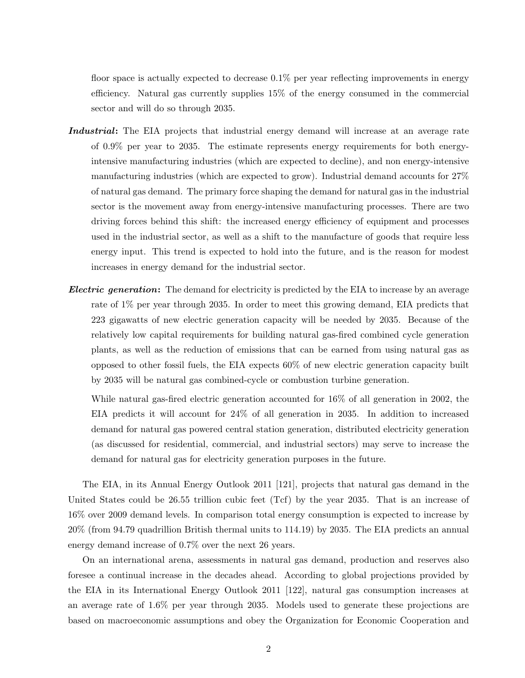floor space is actually expected to decrease 0.1% per year reflecting improvements in energy efficiency. Natural gas currently supplies 15% of the energy consumed in the commercial sector and will do so through 2035.

- Industrial: The EIA projects that industrial energy demand will increase at an average rate of 0.9% per year to 2035. The estimate represents energy requirements for both energyintensive manufacturing industries (which are expected to decline), and non energy-intensive manufacturing industries (which are expected to grow). Industrial demand accounts for 27% of natural gas demand. The primary force shaping the demand for natural gas in the industrial sector is the movement away from energy-intensive manufacturing processes. There are two driving forces behind this shift: the increased energy efficiency of equipment and processes used in the industrial sector, as well as a shift to the manufacture of goods that require less energy input. This trend is expected to hold into the future, and is the reason for modest increases in energy demand for the industrial sector.
- **Electric generation:** The demand for electricity is predicted by the EIA to increase by an average rate of 1% per year through 2035. In order to meet this growing demand, EIA predicts that 223 gigawatts of new electric generation capacity will be needed by 2035. Because of the relatively low capital requirements for building natural gas-fired combined cycle generation plants, as well as the reduction of emissions that can be earned from using natural gas as opposed to other fossil fuels, the EIA expects 60% of new electric generation capacity built by 2035 will be natural gas combined-cycle or combustion turbine generation.

While natural gas-fired electric generation accounted for 16% of all generation in 2002, the EIA predicts it will account for 24% of all generation in 2035. In addition to increased demand for natural gas powered central station generation, distributed electricity generation (as discussed for residential, commercial, and industrial sectors) may serve to increase the demand for natural gas for electricity generation purposes in the future.

The EIA, in its Annual Energy Outlook 2011 [121], projects that natural gas demand in the United States could be 26.55 trillion cubic feet (Tcf) by the year 2035. That is an increase of 16% over 2009 demand levels. In comparison total energy consumption is expected to increase by 20% (from 94.79 quadrillion British thermal units to 114.19) by 2035. The EIA predicts an annual energy demand increase of 0.7% over the next 26 years.

On an international arena, assessments in natural gas demand, production and reserves also foresee a continual increase in the decades ahead. According to global projections provided by the EIA in its International Energy Outlook 2011 [122], natural gas consumption increases at an average rate of 1.6% per year through 2035. Models used to generate these projections are based on macroeconomic assumptions and obey the Organization for Economic Cooperation and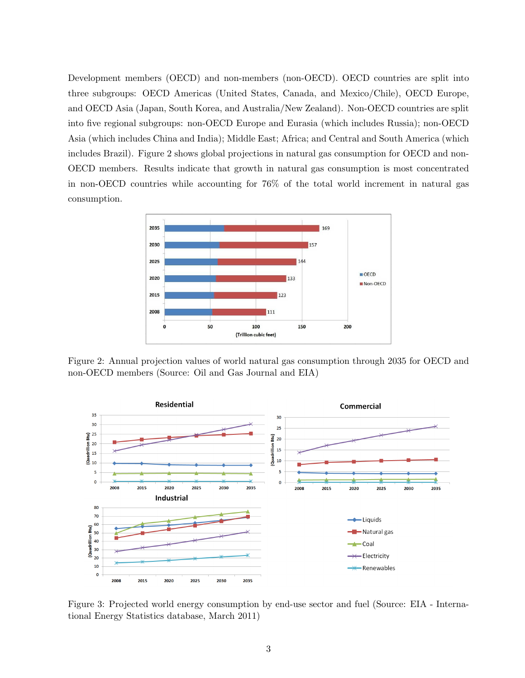Development members (OECD) and non-members (non-OECD). OECD countries are split into three subgroups: OECD Americas (United States, Canada, and Mexico/Chile), OECD Europe, and OECD Asia (Japan, South Korea, and Australia/New Zealand). Non-OECD countries are split into five regional subgroups: non-OECD Europe and Eurasia (which includes Russia); non-OECD Asia (which includes China and India); Middle East; Africa; and Central and South America (which includes Brazil). Figure 2 shows global projections in natural gas consumption for OECD and non-OECD members. Results indicate that growth in natural gas consumption is most concentrated in non-OECD countries while accounting for 76% of the total world increment in natural gas consumption.



Figure 2: Annual projection values of world natural gas consumption through 2035 for OECD and non-OECD members (Source: Oil and Gas Journal and EIA)



Figure 3: Projected world energy consumption by end-use sector and fuel (Source: EIA - International Energy Statistics database, March 2011)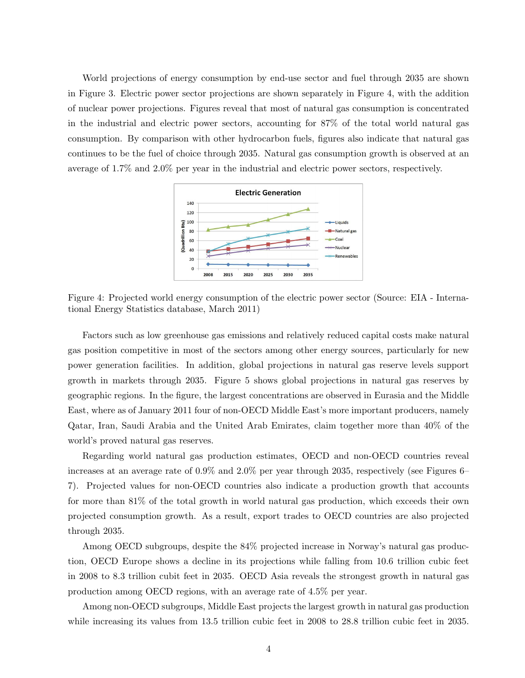World projections of energy consumption by end-use sector and fuel through 2035 are shown in Figure 3. Electric power sector projections are shown separately in Figure 4, with the addition of nuclear power projections. Figures reveal that most of natural gas consumption is concentrated in the industrial and electric power sectors, accounting for 87% of the total world natural gas consumption. By comparison with other hydrocarbon fuels, figures also indicate that natural gas continues to be the fuel of choice through 2035. Natural gas consumption growth is observed at an average of 1.7% and 2.0% per year in the industrial and electric power sectors, respectively.



Figure 4: Projected world energy consumption of the electric power sector (Source: EIA - International Energy Statistics database, March 2011)

Factors such as low greenhouse gas emissions and relatively reduced capital costs make natural gas position competitive in most of the sectors among other energy sources, particularly for new power generation facilities. In addition, global projections in natural gas reserve levels support growth in markets through 2035. Figure 5 shows global projections in natural gas reserves by geographic regions. In the figure, the largest concentrations are observed in Eurasia and the Middle East, where as of January 2011 four of non-OECD Middle East's more important producers, namely Qatar, Iran, Saudi Arabia and the United Arab Emirates, claim together more than 40% of the world's proved natural gas reserves.

Regarding world natural gas production estimates, OECD and non-OECD countries reveal increases at an average rate of 0.9% and 2.0% per year through 2035, respectively (see Figures 6– 7). Projected values for non-OECD countries also indicate a production growth that accounts for more than 81% of the total growth in world natural gas production, which exceeds their own projected consumption growth. As a result, export trades to OECD countries are also projected through 2035.

Among OECD subgroups, despite the 84% projected increase in Norway's natural gas production, OECD Europe shows a decline in its projections while falling from 10.6 trillion cubic feet in 2008 to 8.3 trillion cubit feet in 2035. OECD Asia reveals the strongest growth in natural gas production among OECD regions, with an average rate of 4.5% per year.

Among non-OECD subgroups, Middle East projects the largest growth in natural gas production while increasing its values from 13.5 trillion cubic feet in 2008 to 28.8 trillion cubic feet in 2035.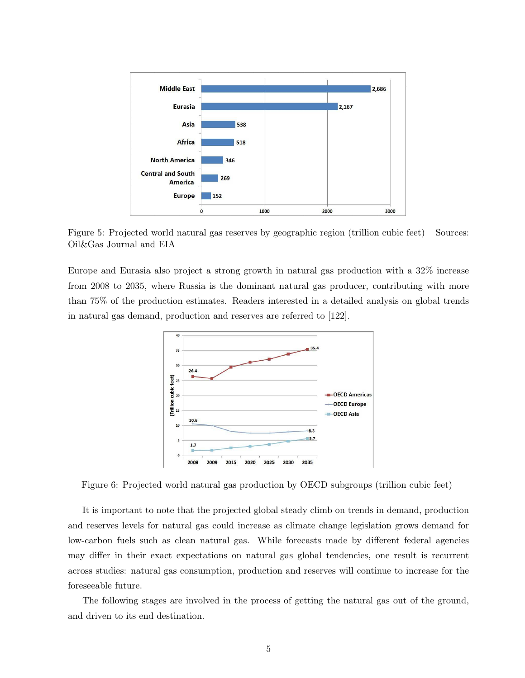

Figure 5: Projected world natural gas reserves by geographic region (trillion cubic feet) – Sources: Oil&Gas Journal and EIA

Europe and Eurasia also project a strong growth in natural gas production with a 32% increase from 2008 to 2035, where Russia is the dominant natural gas producer, contributing with more than 75% of the production estimates. Readers interested in a detailed analysis on global trends in natural gas demand, production and reserves are referred to [122].



Figure 6: Projected world natural gas production by OECD subgroups (trillion cubic feet)

It is important to note that the projected global steady climb on trends in demand, production and reserves levels for natural gas could increase as climate change legislation grows demand for low-carbon fuels such as clean natural gas. While forecasts made by different federal agencies may differ in their exact expectations on natural gas global tendencies, one result is recurrent across studies: natural gas consumption, production and reserves will continue to increase for the foreseeable future.

The following stages are involved in the process of getting the natural gas out of the ground, and driven to its end destination.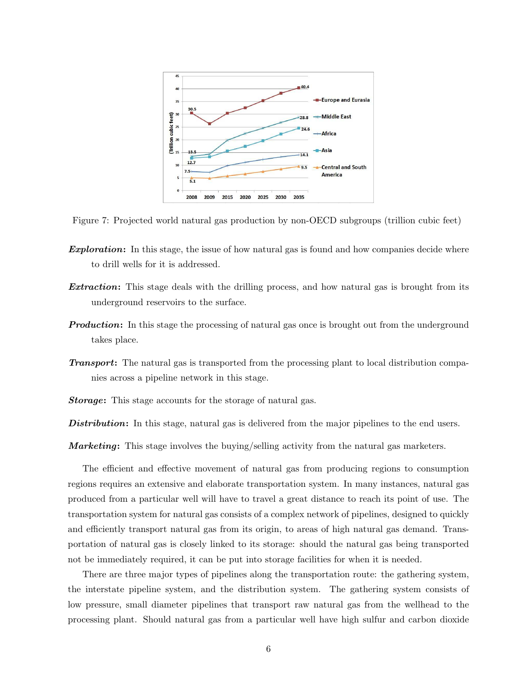

Figure 7: Projected world natural gas production by non-OECD subgroups (trillion cubic feet)

- **Exploration:** In this stage, the issue of how natural gas is found and how companies decide where to drill wells for it is addressed.
- **Extraction:** This stage deals with the drilling process, and how natural gas is brought from its underground reservoirs to the surface.
- **Production:** In this stage the processing of natural gas once is brought out from the underground takes place.
- **Transport:** The natural gas is transported from the processing plant to local distribution companies across a pipeline network in this stage.
- **Storage:** This stage accounts for the storage of natural gas.

**Distribution:** In this stage, natural gas is delivered from the major pipelines to the end users.

**Marketing:** This stage involves the buying/selling activity from the natural gas marketers.

The efficient and effective movement of natural gas from producing regions to consumption regions requires an extensive and elaborate transportation system. In many instances, natural gas produced from a particular well will have to travel a great distance to reach its point of use. The transportation system for natural gas consists of a complex network of pipelines, designed to quickly and efficiently transport natural gas from its origin, to areas of high natural gas demand. Transportation of natural gas is closely linked to its storage: should the natural gas being transported not be immediately required, it can be put into storage facilities for when it is needed.

There are three major types of pipelines along the transportation route: the gathering system, the interstate pipeline system, and the distribution system. The gathering system consists of low pressure, small diameter pipelines that transport raw natural gas from the wellhead to the processing plant. Should natural gas from a particular well have high sulfur and carbon dioxide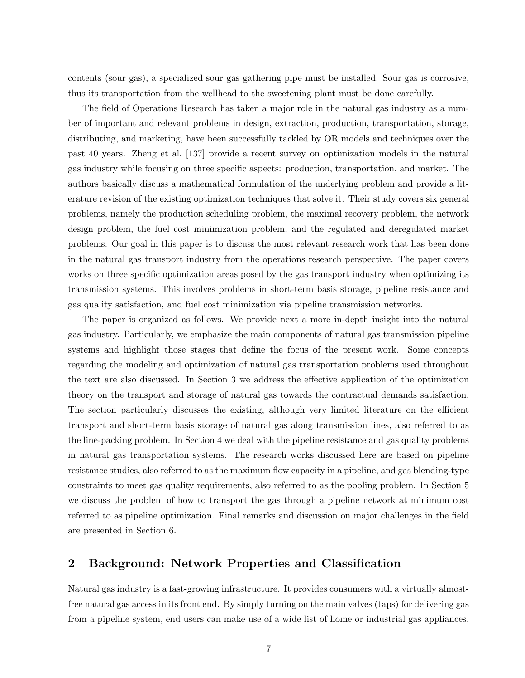contents (sour gas), a specialized sour gas gathering pipe must be installed. Sour gas is corrosive, thus its transportation from the wellhead to the sweetening plant must be done carefully.

The field of Operations Research has taken a major role in the natural gas industry as a number of important and relevant problems in design, extraction, production, transportation, storage, distributing, and marketing, have been successfully tackled by OR models and techniques over the past 40 years. Zheng et al. [137] provide a recent survey on optimization models in the natural gas industry while focusing on three specific aspects: production, transportation, and market. The authors basically discuss a mathematical formulation of the underlying problem and provide a literature revision of the existing optimization techniques that solve it. Their study covers six general problems, namely the production scheduling problem, the maximal recovery problem, the network design problem, the fuel cost minimization problem, and the regulated and deregulated market problems. Our goal in this paper is to discuss the most relevant research work that has been done in the natural gas transport industry from the operations research perspective. The paper covers works on three specific optimization areas posed by the gas transport industry when optimizing its transmission systems. This involves problems in short-term basis storage, pipeline resistance and gas quality satisfaction, and fuel cost minimization via pipeline transmission networks.

The paper is organized as follows. We provide next a more in-depth insight into the natural gas industry. Particularly, we emphasize the main components of natural gas transmission pipeline systems and highlight those stages that define the focus of the present work. Some concepts regarding the modeling and optimization of natural gas transportation problems used throughout the text are also discussed. In Section 3 we address the effective application of the optimization theory on the transport and storage of natural gas towards the contractual demands satisfaction. The section particularly discusses the existing, although very limited literature on the efficient transport and short-term basis storage of natural gas along transmission lines, also referred to as the line-packing problem. In Section 4 we deal with the pipeline resistance and gas quality problems in natural gas transportation systems. The research works discussed here are based on pipeline resistance studies, also referred to as the maximum flow capacity in a pipeline, and gas blending-type constraints to meet gas quality requirements, also referred to as the pooling problem. In Section 5 we discuss the problem of how to transport the gas through a pipeline network at minimum cost referred to as pipeline optimization. Final remarks and discussion on major challenges in the field are presented in Section 6.

# 2 Background: Network Properties and Classification

Natural gas industry is a fast-growing infrastructure. It provides consumers with a virtually almostfree natural gas access in its front end. By simply turning on the main valves (taps) for delivering gas from a pipeline system, end users can make use of a wide list of home or industrial gas appliances.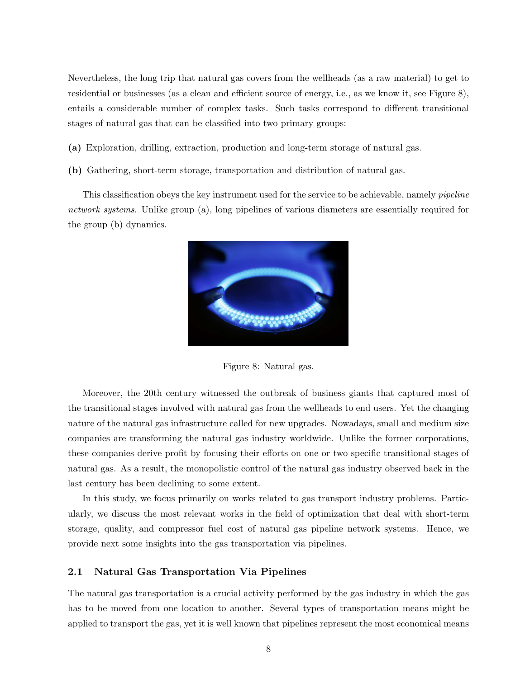Nevertheless, the long trip that natural gas covers from the wellheads (as a raw material) to get to residential or businesses (as a clean and efficient source of energy, i.e., as we know it, see Figure 8), entails a considerable number of complex tasks. Such tasks correspond to different transitional stages of natural gas that can be classified into two primary groups:

- (a) Exploration, drilling, extraction, production and long-term storage of natural gas.
- (b) Gathering, short-term storage, transportation and distribution of natural gas.

This classification obeys the key instrument used for the service to be achievable, namely *pipeline network systems*. Unlike group (a), long pipelines of various diameters are essentially required for the group (b) dynamics.



Figure 8: Natural gas.

Moreover, the 20th century witnessed the outbreak of business giants that captured most of the transitional stages involved with natural gas from the wellheads to end users. Yet the changing nature of the natural gas infrastructure called for new upgrades. Nowadays, small and medium size companies are transforming the natural gas industry worldwide. Unlike the former corporations, these companies derive profit by focusing their efforts on one or two specific transitional stages of natural gas. As a result, the monopolistic control of the natural gas industry observed back in the last century has been declining to some extent.

In this study, we focus primarily on works related to gas transport industry problems. Particularly, we discuss the most relevant works in the field of optimization that deal with short-term storage, quality, and compressor fuel cost of natural gas pipeline network systems. Hence, we provide next some insights into the gas transportation via pipelines.

# 2.1 Natural Gas Transportation Via Pipelines

The natural gas transportation is a crucial activity performed by the gas industry in which the gas has to be moved from one location to another. Several types of transportation means might be applied to transport the gas, yet it is well known that pipelines represent the most economical means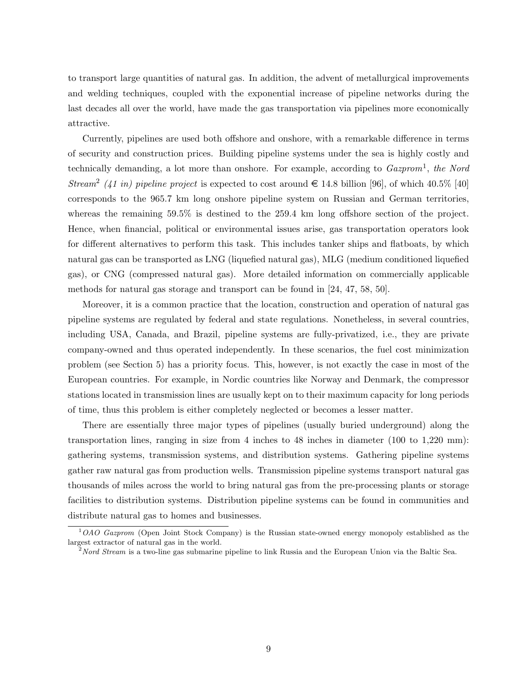to transport large quantities of natural gas. In addition, the advent of metallurgical improvements and welding techniques, coupled with the exponential increase of pipeline networks during the last decades all over the world, have made the gas transportation via pipelines more economically attractive.

Currently, pipelines are used both offshore and onshore, with a remarkable difference in terms of security and construction prices. Building pipeline systems under the sea is highly costly and technically demanding, a lot more than onshore. For example, according to *Gazprom*<sup>1</sup> , *the Nord Stream*<sup>2</sup> (41 in) pipeline project is expected to cost around  $\in$  14.8 billion [96], of which 40.5% [40] corresponds to the 965.7 km long onshore pipeline system on Russian and German territories, whereas the remaining 59.5% is destined to the 259.4 km long offshore section of the project. Hence, when financial, political or environmental issues arise, gas transportation operators look for different alternatives to perform this task. This includes tanker ships and flatboats, by which natural gas can be transported as LNG (liquefied natural gas), MLG (medium conditioned liquefied gas), or CNG (compressed natural gas). More detailed information on commercially applicable methods for natural gas storage and transport can be found in [24, 47, 58, 50].

Moreover, it is a common practice that the location, construction and operation of natural gas pipeline systems are regulated by federal and state regulations. Nonetheless, in several countries, including USA, Canada, and Brazil, pipeline systems are fully-privatized, i.e., they are private company-owned and thus operated independently. In these scenarios, the fuel cost minimization problem (see Section 5) has a priority focus. This, however, is not exactly the case in most of the European countries. For example, in Nordic countries like Norway and Denmark, the compressor stations located in transmission lines are usually kept on to their maximum capacity for long periods of time, thus this problem is either completely neglected or becomes a lesser matter.

There are essentially three major types of pipelines (usually buried underground) along the transportation lines, ranging in size from 4 inches to 48 inches in diameter (100 to 1,220 mm): gathering systems, transmission systems, and distribution systems. Gathering pipeline systems gather raw natural gas from production wells. Transmission pipeline systems transport natural gas thousands of miles across the world to bring natural gas from the pre-processing plants or storage facilities to distribution systems. Distribution pipeline systems can be found in communities and distribute natural gas to homes and businesses.

 $1$ OAO Gazprom (Open Joint Stock Company) is the Russian state-owned energy monopoly established as the largest extractor of natural gas in the world.<br><sup>2</sup>Nord Stream is a two-line gas submarine pipeline to link Russia and the European Union via the Baltic Sea.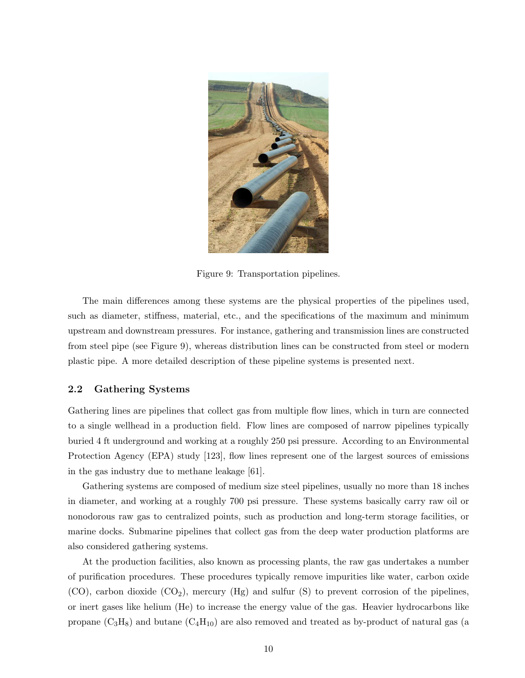

Figure 9: Transportation pipelines.

The main differences among these systems are the physical properties of the pipelines used, such as diameter, stiffness, material, etc., and the specifications of the maximum and minimum upstream and downstream pressures. For instance, gathering and transmission lines are constructed from steel pipe (see Figure 9), whereas distribution lines can be constructed from steel or modern plastic pipe. A more detailed description of these pipeline systems is presented next.

# 2.2 Gathering Systems

Gathering lines are pipelines that collect gas from multiple flow lines, which in turn are connected to a single wellhead in a production field. Flow lines are composed of narrow pipelines typically buried 4 ft underground and working at a roughly 250 psi pressure. According to an Environmental Protection Agency (EPA) study [123], flow lines represent one of the largest sources of emissions in the gas industry due to methane leakage [61].

Gathering systems are composed of medium size steel pipelines, usually no more than 18 inches in diameter, and working at a roughly 700 psi pressure. These systems basically carry raw oil or nonodorous raw gas to centralized points, such as production and long-term storage facilities, or marine docks. Submarine pipelines that collect gas from the deep water production platforms are also considered gathering systems.

At the production facilities, also known as processing plants, the raw gas undertakes a number of purification procedures. These procedures typically remove impurities like water, carbon oxide  $(CO)$ , carbon dioxide  $(CO_2)$ , mercury  $(Hg)$  and sulfur  $(S)$  to prevent corrosion of the pipelines, or inert gases like helium (He) to increase the energy value of the gas. Heavier hydrocarbons like propane  $(C_3H_8)$  and butane  $(C_4H_{10})$  are also removed and treated as by-product of natural gas (a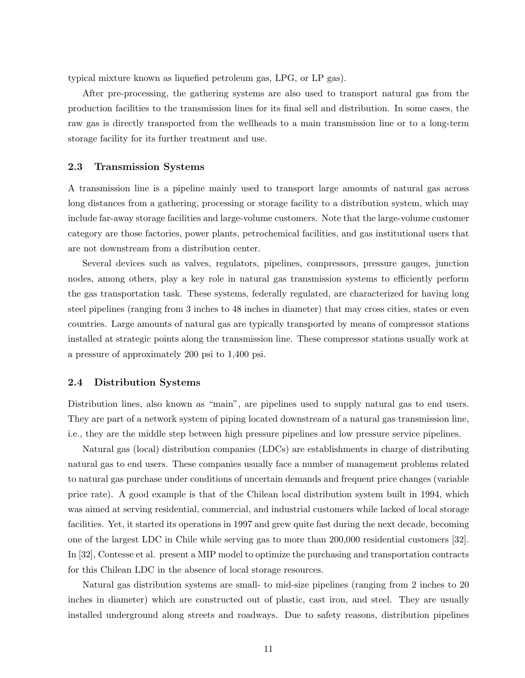typical mixture known as liquefied petroleum gas, LPG, or LP gas).

After pre-processing, the gathering systems are also used to transport natural gas from the production facilities to the transmission lines for its final sell and distribution. In some cases, the raw gas is directly transported from the wellheads to a main transmission line or to a long-term storage facility for its further treatment and use.

# 2.3 Transmission Systems

A transmission line is a pipeline mainly used to transport large amounts of natural gas across long distances from a gathering, processing or storage facility to a distribution system, which may include far-away storage facilities and large-volume customers. Note that the large-volume customer category are those factories, power plants, petrochemical facilities, and gas institutional users that are not downstream from a distribution center.

Several devices such as valves, regulators, pipelines, compressors, pressure gauges, junction nodes, among others, play a key role in natural gas transmission systems to efficiently perform the gas transportation task. These systems, federally regulated, are characterized for having long steel pipelines (ranging from 3 inches to 48 inches in diameter) that may cross cities, states or even countries. Large amounts of natural gas are typically transported by means of compressor stations installed at strategic points along the transmission line. These compressor stations usually work at a pressure of approximately 200 psi to 1,400 psi.

# 2.4 Distribution Systems

Distribution lines, also known as "main", are pipelines used to supply natural gas to end users. They are part of a network system of piping located downstream of a natural gas transmission line, i.e., they are the middle step between high pressure pipelines and low pressure service pipelines.

Natural gas (local) distribution companies (LDCs) are establishments in charge of distributing natural gas to end users. These companies usually face a number of management problems related to natural gas purchase under conditions of uncertain demands and frequent price changes (variable price rate). A good example is that of the Chilean local distribution system built in 1994, which was aimed at serving residential, commercial, and industrial customers while lacked of local storage facilities. Yet, it started its operations in 1997 and grew quite fast during the next decade, becoming one of the largest LDC in Chile while serving gas to more than 200,000 residential customers [32]. In [32], Contesse et al. present a MIP model to optimize the purchasing and transportation contracts for this Chilean LDC in the absence of local storage resources.

Natural gas distribution systems are small- to mid-size pipelines (ranging from 2 inches to 20 inches in diameter) which are constructed out of plastic, cast iron, and steel. They are usually installed underground along streets and roadways. Due to safety reasons, distribution pipelines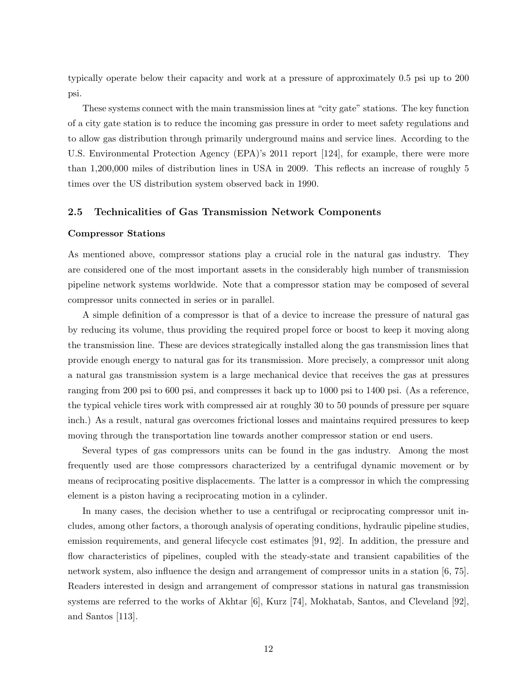typically operate below their capacity and work at a pressure of approximately 0.5 psi up to 200 psi.

These systems connect with the main transmission lines at "city gate" stations. The key function of a city gate station is to reduce the incoming gas pressure in order to meet safety regulations and to allow gas distribution through primarily underground mains and service lines. According to the U.S. Environmental Protection Agency (EPA)'s 2011 report [124], for example, there were more than 1,200,000 miles of distribution lines in USA in 2009. This reflects an increase of roughly 5 times over the US distribution system observed back in 1990.

# 2.5 Technicalities of Gas Transmission Network Components

#### Compressor Stations

As mentioned above, compressor stations play a crucial role in the natural gas industry. They are considered one of the most important assets in the considerably high number of transmission pipeline network systems worldwide. Note that a compressor station may be composed of several compressor units connected in series or in parallel.

A simple definition of a compressor is that of a device to increase the pressure of natural gas by reducing its volume, thus providing the required propel force or boost to keep it moving along the transmission line. These are devices strategically installed along the gas transmission lines that provide enough energy to natural gas for its transmission. More precisely, a compressor unit along a natural gas transmission system is a large mechanical device that receives the gas at pressures ranging from 200 psi to 600 psi, and compresses it back up to 1000 psi to 1400 psi. (As a reference, the typical vehicle tires work with compressed air at roughly 30 to 50 pounds of pressure per square inch.) As a result, natural gas overcomes frictional losses and maintains required pressures to keep moving through the transportation line towards another compressor station or end users.

Several types of gas compressors units can be found in the gas industry. Among the most frequently used are those compressors characterized by a centrifugal dynamic movement or by means of reciprocating positive displacements. The latter is a compressor in which the compressing element is a piston having a reciprocating motion in a cylinder.

In many cases, the decision whether to use a centrifugal or reciprocating compressor unit includes, among other factors, a thorough analysis of operating conditions, hydraulic pipeline studies, emission requirements, and general lifecycle cost estimates [91, 92]. In addition, the pressure and flow characteristics of pipelines, coupled with the steady-state and transient capabilities of the network system, also influence the design and arrangement of compressor units in a station [6, 75]. Readers interested in design and arrangement of compressor stations in natural gas transmission systems are referred to the works of Akhtar [6], Kurz [74], Mokhatab, Santos, and Cleveland [92], and Santos [113].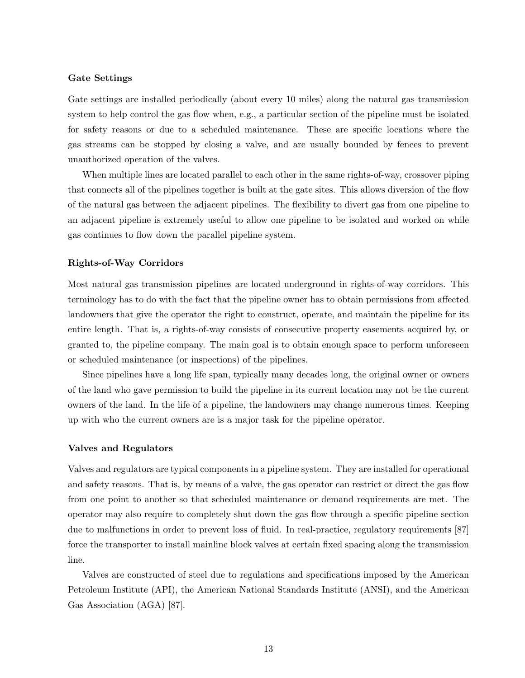#### Gate Settings

Gate settings are installed periodically (about every 10 miles) along the natural gas transmission system to help control the gas flow when, e.g., a particular section of the pipeline must be isolated for safety reasons or due to a scheduled maintenance. These are specific locations where the gas streams can be stopped by closing a valve, and are usually bounded by fences to prevent unauthorized operation of the valves.

When multiple lines are located parallel to each other in the same rights-of-way, crossover piping that connects all of the pipelines together is built at the gate sites. This allows diversion of the flow of the natural gas between the adjacent pipelines. The flexibility to divert gas from one pipeline to an adjacent pipeline is extremely useful to allow one pipeline to be isolated and worked on while gas continues to flow down the parallel pipeline system.

# Rights-of-Way Corridors

Most natural gas transmission pipelines are located underground in rights-of-way corridors. This terminology has to do with the fact that the pipeline owner has to obtain permissions from affected landowners that give the operator the right to construct, operate, and maintain the pipeline for its entire length. That is, a rights-of-way consists of consecutive property easements acquired by, or granted to, the pipeline company. The main goal is to obtain enough space to perform unforeseen or scheduled maintenance (or inspections) of the pipelines.

Since pipelines have a long life span, typically many decades long, the original owner or owners of the land who gave permission to build the pipeline in its current location may not be the current owners of the land. In the life of a pipeline, the landowners may change numerous times. Keeping up with who the current owners are is a major task for the pipeline operator.

#### Valves and Regulators

Valves and regulators are typical components in a pipeline system. They are installed for operational and safety reasons. That is, by means of a valve, the gas operator can restrict or direct the gas flow from one point to another so that scheduled maintenance or demand requirements are met. The operator may also require to completely shut down the gas flow through a specific pipeline section due to malfunctions in order to prevent loss of fluid. In real-practice, regulatory requirements [87] force the transporter to install mainline block valves at certain fixed spacing along the transmission line.

Valves are constructed of steel due to regulations and specifications imposed by the American Petroleum Institute (API), the American National Standards Institute (ANSI), and the American Gas Association (AGA) [87].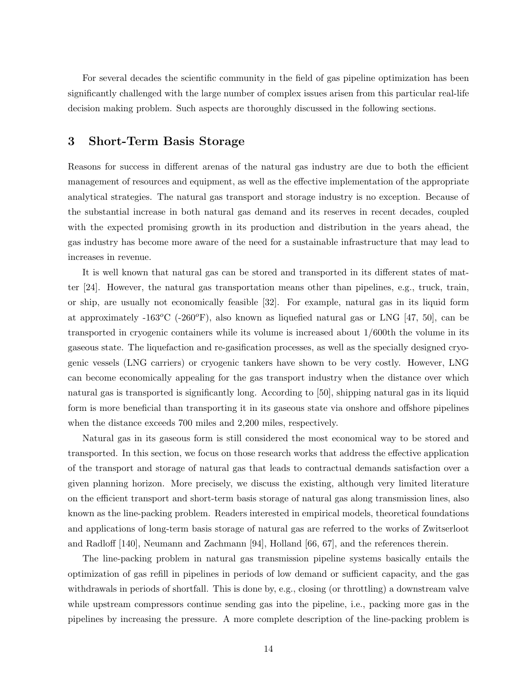For several decades the scientific community in the field of gas pipeline optimization has been significantly challenged with the large number of complex issues arisen from this particular real-life decision making problem. Such aspects are thoroughly discussed in the following sections.

# 3 Short-Term Basis Storage

Reasons for success in different arenas of the natural gas industry are due to both the efficient management of resources and equipment, as well as the effective implementation of the appropriate analytical strategies. The natural gas transport and storage industry is no exception. Because of the substantial increase in both natural gas demand and its reserves in recent decades, coupled with the expected promising growth in its production and distribution in the years ahead, the gas industry has become more aware of the need for a sustainable infrastructure that may lead to increases in revenue.

It is well known that natural gas can be stored and transported in its different states of matter [24]. However, the natural gas transportation means other than pipelines, e.g., truck, train, or ship, are usually not economically feasible [32]. For example, natural gas in its liquid form at approximately -163<sup>o</sup>C (-260<sup>o</sup>F), also known as liquefied natural gas or LNG [47, 50], can be transported in cryogenic containers while its volume is increased about 1/600th the volume in its gaseous state. The liquefaction and re-gasification processes, as well as the specially designed cryogenic vessels (LNG carriers) or cryogenic tankers have shown to be very costly. However, LNG can become economically appealing for the gas transport industry when the distance over which natural gas is transported is significantly long. According to [50], shipping natural gas in its liquid form is more beneficial than transporting it in its gaseous state via onshore and offshore pipelines when the distance exceeds 700 miles and 2,200 miles, respectively.

Natural gas in its gaseous form is still considered the most economical way to be stored and transported. In this section, we focus on those research works that address the effective application of the transport and storage of natural gas that leads to contractual demands satisfaction over a given planning horizon. More precisely, we discuss the existing, although very limited literature on the efficient transport and short-term basis storage of natural gas along transmission lines, also known as the line-packing problem. Readers interested in empirical models, theoretical foundations and applications of long-term basis storage of natural gas are referred to the works of Zwitserloot and Radloff [140], Neumann and Zachmann [94], Holland [66, 67], and the references therein.

The line-packing problem in natural gas transmission pipeline systems basically entails the optimization of gas refill in pipelines in periods of low demand or sufficient capacity, and the gas withdrawals in periods of shortfall. This is done by, e.g., closing (or throttling) a downstream valve while upstream compressors continue sending gas into the pipeline, i.e., packing more gas in the pipelines by increasing the pressure. A more complete description of the line-packing problem is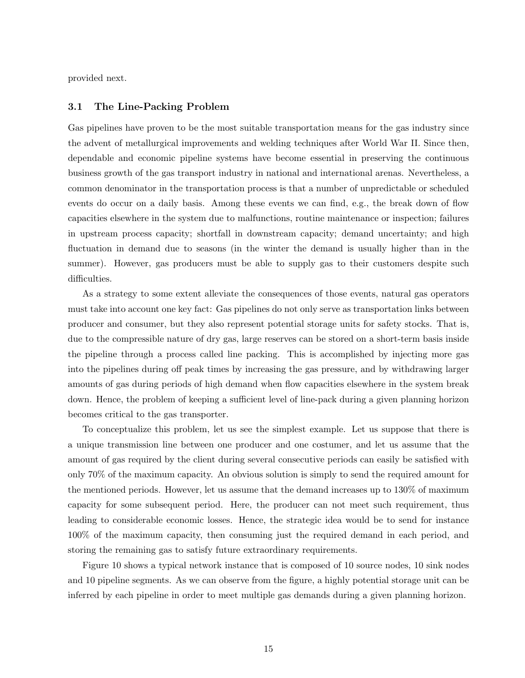provided next.

# 3.1 The Line-Packing Problem

Gas pipelines have proven to be the most suitable transportation means for the gas industry since the advent of metallurgical improvements and welding techniques after World War II. Since then, dependable and economic pipeline systems have become essential in preserving the continuous business growth of the gas transport industry in national and international arenas. Nevertheless, a common denominator in the transportation process is that a number of unpredictable or scheduled events do occur on a daily basis. Among these events we can find, e.g., the break down of flow capacities elsewhere in the system due to malfunctions, routine maintenance or inspection; failures in upstream process capacity; shortfall in downstream capacity; demand uncertainty; and high fluctuation in demand due to seasons (in the winter the demand is usually higher than in the summer). However, gas producers must be able to supply gas to their customers despite such difficulties.

As a strategy to some extent alleviate the consequences of those events, natural gas operators must take into account one key fact: Gas pipelines do not only serve as transportation links between producer and consumer, but they also represent potential storage units for safety stocks. That is, due to the compressible nature of dry gas, large reserves can be stored on a short-term basis inside the pipeline through a process called line packing. This is accomplished by injecting more gas into the pipelines during off peak times by increasing the gas pressure, and by withdrawing larger amounts of gas during periods of high demand when flow capacities elsewhere in the system break down. Hence, the problem of keeping a sufficient level of line-pack during a given planning horizon becomes critical to the gas transporter.

To conceptualize this problem, let us see the simplest example. Let us suppose that there is a unique transmission line between one producer and one costumer, and let us assume that the amount of gas required by the client during several consecutive periods can easily be satisfied with only 70% of the maximum capacity. An obvious solution is simply to send the required amount for the mentioned periods. However, let us assume that the demand increases up to 130% of maximum capacity for some subsequent period. Here, the producer can not meet such requirement, thus leading to considerable economic losses. Hence, the strategic idea would be to send for instance 100% of the maximum capacity, then consuming just the required demand in each period, and storing the remaining gas to satisfy future extraordinary requirements.

Figure 10 shows a typical network instance that is composed of 10 source nodes, 10 sink nodes and 10 pipeline segments. As we can observe from the figure, a highly potential storage unit can be inferred by each pipeline in order to meet multiple gas demands during a given planning horizon.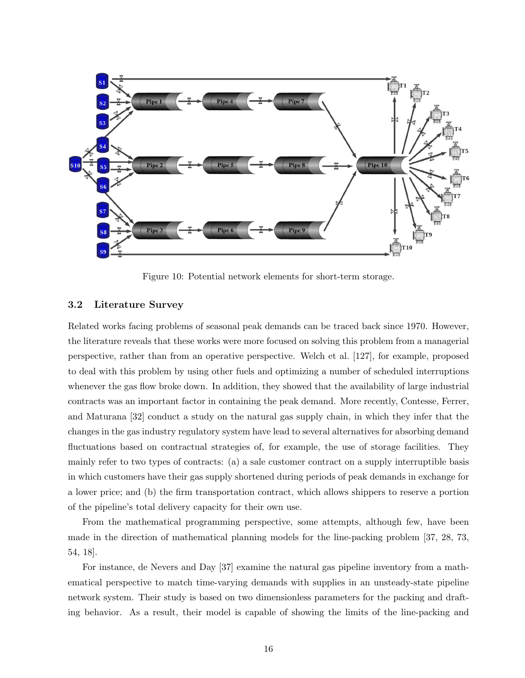

Figure 10: Potential network elements for short-term storage.

# 3.2 Literature Survey

Related works facing problems of seasonal peak demands can be traced back since 1970. However, the literature reveals that these works were more focused on solving this problem from a managerial perspective, rather than from an operative perspective. Welch et al. [127], for example, proposed to deal with this problem by using other fuels and optimizing a number of scheduled interruptions whenever the gas flow broke down. In addition, they showed that the availability of large industrial contracts was an important factor in containing the peak demand. More recently, Contesse, Ferrer, and Maturana [32] conduct a study on the natural gas supply chain, in which they infer that the changes in the gas industry regulatory system have lead to several alternatives for absorbing demand fluctuations based on contractual strategies of, for example, the use of storage facilities. They mainly refer to two types of contracts: (a) a sale customer contract on a supply interruptible basis in which customers have their gas supply shortened during periods of peak demands in exchange for a lower price; and (b) the firm transportation contract, which allows shippers to reserve a portion of the pipeline's total delivery capacity for their own use.

From the mathematical programming perspective, some attempts, although few, have been made in the direction of mathematical planning models for the line-packing problem [37, 28, 73, 54, 18].

For instance, de Nevers and Day [37] examine the natural gas pipeline inventory from a mathematical perspective to match time-varying demands with supplies in an unsteady-state pipeline network system. Their study is based on two dimensionless parameters for the packing and drafting behavior. As a result, their model is capable of showing the limits of the line-packing and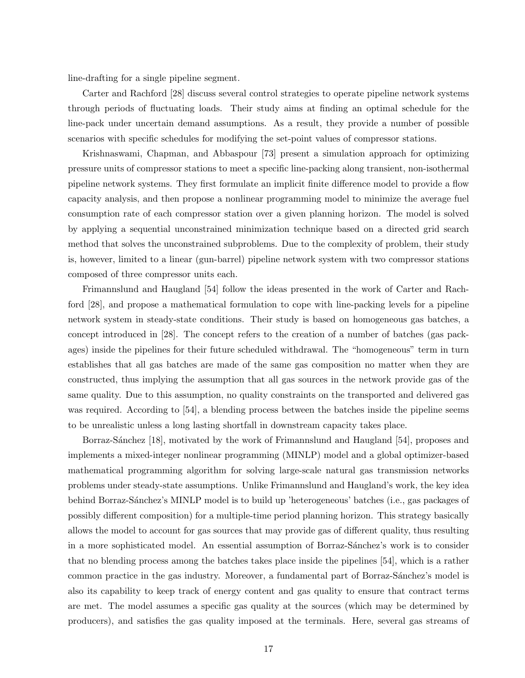line-drafting for a single pipeline segment.

Carter and Rachford [28] discuss several control strategies to operate pipeline network systems through periods of fluctuating loads. Their study aims at finding an optimal schedule for the line-pack under uncertain demand assumptions. As a result, they provide a number of possible scenarios with specific schedules for modifying the set-point values of compressor stations.

Krishnaswami, Chapman, and Abbaspour [73] present a simulation approach for optimizing pressure units of compressor stations to meet a specific line-packing along transient, non-isothermal pipeline network systems. They first formulate an implicit finite difference model to provide a flow capacity analysis, and then propose a nonlinear programming model to minimize the average fuel consumption rate of each compressor station over a given planning horizon. The model is solved by applying a sequential unconstrained minimization technique based on a directed grid search method that solves the unconstrained subproblems. Due to the complexity of problem, their study is, however, limited to a linear (gun-barrel) pipeline network system with two compressor stations composed of three compressor units each.

Frimannslund and Haugland [54] follow the ideas presented in the work of Carter and Rachford [28], and propose a mathematical formulation to cope with line-packing levels for a pipeline network system in steady-state conditions. Their study is based on homogeneous gas batches, a concept introduced in [28]. The concept refers to the creation of a number of batches (gas packages) inside the pipelines for their future scheduled withdrawal. The "homogeneous" term in turn establishes that all gas batches are made of the same gas composition no matter when they are constructed, thus implying the assumption that all gas sources in the network provide gas of the same quality. Due to this assumption, no quality constraints on the transported and delivered gas was required. According to [54], a blending process between the batches inside the pipeline seems to be unrealistic unless a long lasting shortfall in downstream capacity takes place.

Borraz-Sánchez [18], motivated by the work of Frimannslund and Haugland [54], proposes and implements a mixed-integer nonlinear programming (MINLP) model and a global optimizer-based mathematical programming algorithm for solving large-scale natural gas transmission networks problems under steady-state assumptions. Unlike Frimannslund and Haugland's work, the key idea behind Borraz-S´anchez's MINLP model is to build up 'heterogeneous' batches (i.e., gas packages of possibly different composition) for a multiple-time period planning horizon. This strategy basically allows the model to account for gas sources that may provide gas of different quality, thus resulting in a more sophisticated model. An essential assumption of Borraz-Sánchez's work is to consider that no blending process among the batches takes place inside the pipelines [54], which is a rather common practice in the gas industry. Moreover, a fundamental part of Borraz-Sánchez's model is also its capability to keep track of energy content and gas quality to ensure that contract terms are met. The model assumes a specific gas quality at the sources (which may be determined by producers), and satisfies the gas quality imposed at the terminals. Here, several gas streams of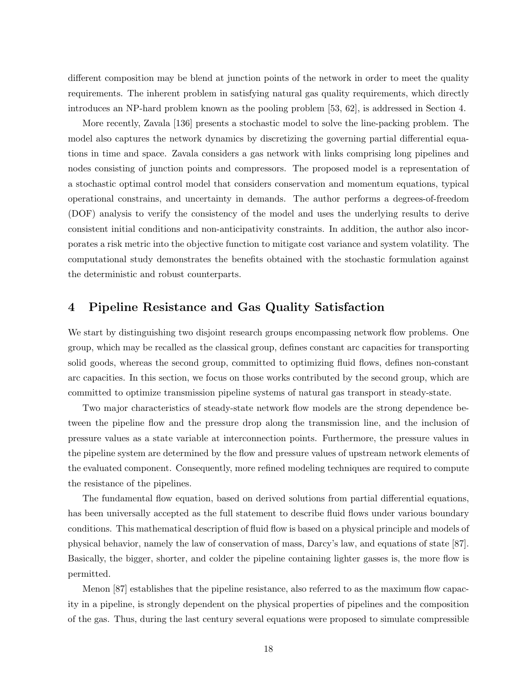different composition may be blend at junction points of the network in order to meet the quality requirements. The inherent problem in satisfying natural gas quality requirements, which directly introduces an NP-hard problem known as the pooling problem [53, 62], is addressed in Section 4.

More recently, Zavala [136] presents a stochastic model to solve the line-packing problem. The model also captures the network dynamics by discretizing the governing partial differential equations in time and space. Zavala considers a gas network with links comprising long pipelines and nodes consisting of junction points and compressors. The proposed model is a representation of a stochastic optimal control model that considers conservation and momentum equations, typical operational constrains, and uncertainty in demands. The author performs a degrees-of-freedom (DOF) analysis to verify the consistency of the model and uses the underlying results to derive consistent initial conditions and non-anticipativity constraints. In addition, the author also incorporates a risk metric into the objective function to mitigate cost variance and system volatility. The computational study demonstrates the benefits obtained with the stochastic formulation against the deterministic and robust counterparts.

# 4 Pipeline Resistance and Gas Quality Satisfaction

We start by distinguishing two disjoint research groups encompassing network flow problems. One group, which may be recalled as the classical group, defines constant arc capacities for transporting solid goods, whereas the second group, committed to optimizing fluid flows, defines non-constant arc capacities. In this section, we focus on those works contributed by the second group, which are committed to optimize transmission pipeline systems of natural gas transport in steady-state.

Two major characteristics of steady-state network flow models are the strong dependence between the pipeline flow and the pressure drop along the transmission line, and the inclusion of pressure values as a state variable at interconnection points. Furthermore, the pressure values in the pipeline system are determined by the flow and pressure values of upstream network elements of the evaluated component. Consequently, more refined modeling techniques are required to compute the resistance of the pipelines.

The fundamental flow equation, based on derived solutions from partial differential equations, has been universally accepted as the full statement to describe fluid flows under various boundary conditions. This mathematical description of fluid flow is based on a physical principle and models of physical behavior, namely the law of conservation of mass, Darcy's law, and equations of state [87]. Basically, the bigger, shorter, and colder the pipeline containing lighter gasses is, the more flow is permitted.

Menon [87] establishes that the pipeline resistance, also referred to as the maximum flow capacity in a pipeline, is strongly dependent on the physical properties of pipelines and the composition of the gas. Thus, during the last century several equations were proposed to simulate compressible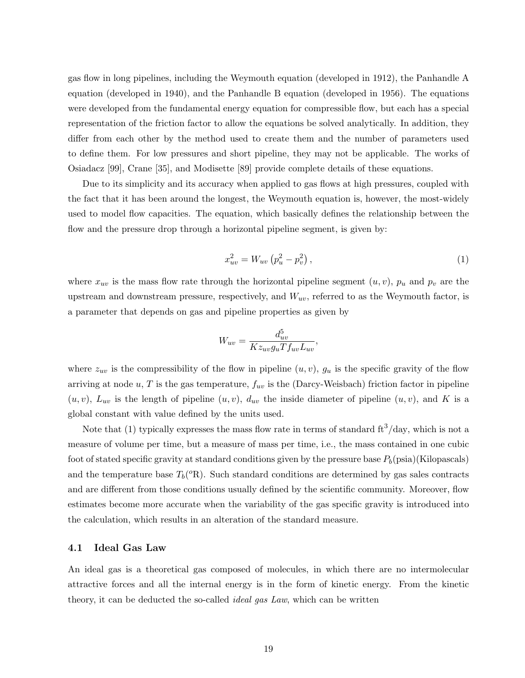gas flow in long pipelines, including the Weymouth equation (developed in 1912), the Panhandle A equation (developed in 1940), and the Panhandle B equation (developed in 1956). The equations were developed from the fundamental energy equation for compressible flow, but each has a special representation of the friction factor to allow the equations be solved analytically. In addition, they differ from each other by the method used to create them and the number of parameters used to define them. For low pressures and short pipeline, they may not be applicable. The works of Osiadacz [99], Crane [35], and Modisette [89] provide complete details of these equations.

Due to its simplicity and its accuracy when applied to gas flows at high pressures, coupled with the fact that it has been around the longest, the Weymouth equation is, however, the most-widely used to model flow capacities. The equation, which basically defines the relationship between the flow and the pressure drop through a horizontal pipeline segment, is given by:

$$
x_{uv}^2 = W_{uv} \left( p_u^2 - p_v^2 \right), \tag{1}
$$

where  $x_{uv}$  is the mass flow rate through the horizontal pipeline segment  $(u, v)$ ,  $p_u$  and  $p_v$  are the upstream and downstream pressure, respectively, and  $W_{uv}$ , referred to as the Weymouth factor, is a parameter that depends on gas and pipeline properties as given by

$$
W_{uv} = \frac{d_{uv}^5}{Kz_{uv}g_uTf_{uv}L_{uv}},
$$

where  $z_{uv}$  is the compressibility of the flow in pipeline  $(u, v)$ ,  $g_u$  is the specific gravity of the flow arriving at node u, T is the gas temperature,  $f_{uv}$  is the (Darcy-Weisbach) friction factor in pipeline  $(u, v)$ ,  $L_{uv}$  is the length of pipeline  $(u, v)$ ,  $d_{uv}$  the inside diameter of pipeline  $(u, v)$ , and K is a global constant with value defined by the units used.

Note that (1) typically expresses the mass flow rate in terms of standard  $\text{ft}^3/\text{day}$ , which is not a measure of volume per time, but a measure of mass per time, i.e., the mass contained in one cubic foot of stated specific gravity at standard conditions given by the pressure base  $P<sub>b</sub>(psi)$ (Kilopascals) and the temperature base  $T_b({}^oR)$ . Such standard conditions are determined by gas sales contracts and are different from those conditions usually defined by the scientific community. Moreover, flow estimates become more accurate when the variability of the gas specific gravity is introduced into the calculation, which results in an alteration of the standard measure.

# 4.1 Ideal Gas Law

An ideal gas is a theoretical gas composed of molecules, in which there are no intermolecular attractive forces and all the internal energy is in the form of kinetic energy. From the kinetic theory, it can be deducted the so-called *ideal gas Law*, which can be written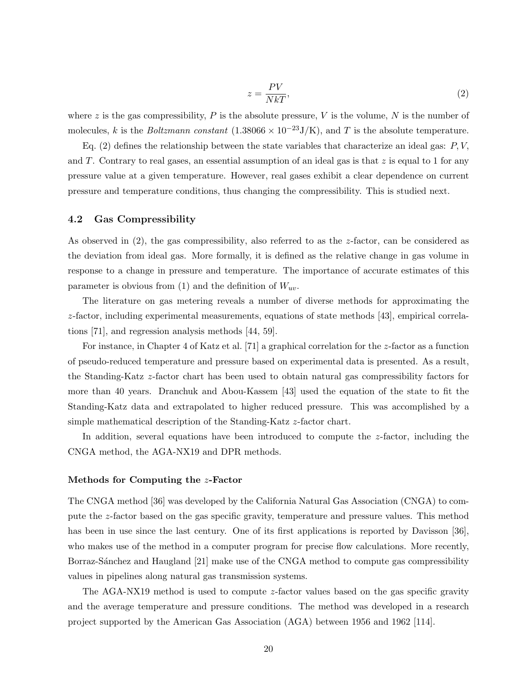$$
z = \frac{PV}{NkT},\tag{2}
$$

where z is the gas compressibility,  $P$  is the absolute pressure,  $V$  is the volume,  $N$  is the number of molecules, k is the *Boltzmann constant*  $(1.38066 \times 10^{-23} J/K)$ , and T is the absolute temperature.

Eq.  $(2)$  defines the relationship between the state variables that characterize an ideal gas:  $P, V$ , and T. Contrary to real gases, an essential assumption of an ideal gas is that z is equal to 1 for any pressure value at a given temperature. However, real gases exhibit a clear dependence on current pressure and temperature conditions, thus changing the compressibility. This is studied next.

## 4.2 Gas Compressibility

As observed in  $(2)$ , the gas compressibility, also referred to as the z-factor, can be considered as the deviation from ideal gas. More formally, it is defined as the relative change in gas volume in response to a change in pressure and temperature. The importance of accurate estimates of this parameter is obvious from  $(1)$  and the definition of  $W_{uv}$ .

The literature on gas metering reveals a number of diverse methods for approximating the z-factor, including experimental measurements, equations of state methods [43], empirical correlations [71], and regression analysis methods [44, 59].

For instance, in Chapter 4 of Katz et al. [71] a graphical correlation for the z-factor as a function of pseudo-reduced temperature and pressure based on experimental data is presented. As a result, the Standing-Katz z-factor chart has been used to obtain natural gas compressibility factors for more than 40 years. Dranchuk and Abou-Kassem [43] used the equation of the state to fit the Standing-Katz data and extrapolated to higher reduced pressure. This was accomplished by a simple mathematical description of the Standing-Katz z-factor chart.

In addition, several equations have been introduced to compute the  $z$ -factor, including the CNGA method, the AGA-NX19 and DPR methods.

# Methods for Computing the z-Factor

The CNGA method [36] was developed by the California Natural Gas Association (CNGA) to compute the z-factor based on the gas specific gravity, temperature and pressure values. This method has been in use since the last century. One of its first applications is reported by Davisson [36], who makes use of the method in a computer program for precise flow calculations. More recently, Borraz-Sánchez and Haugland [21] make use of the CNGA method to compute gas compressibility values in pipelines along natural gas transmission systems.

The AGA-NX19 method is used to compute z-factor values based on the gas specific gravity and the average temperature and pressure conditions. The method was developed in a research project supported by the American Gas Association (AGA) between 1956 and 1962 [114].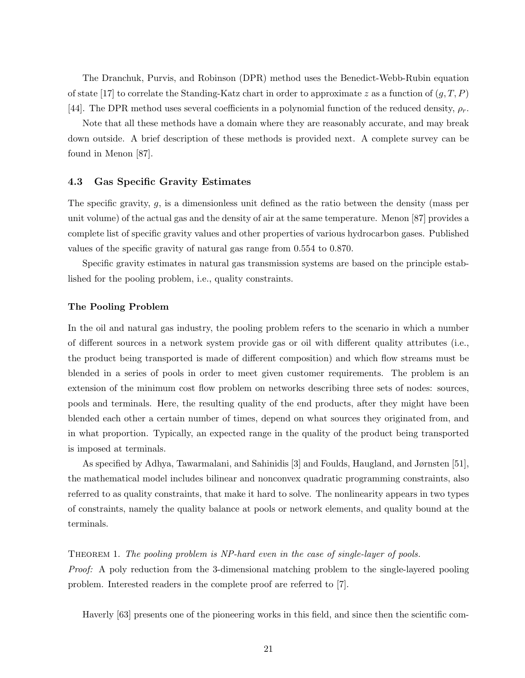The Dranchuk, Purvis, and Robinson (DPR) method uses the Benedict-Webb-Rubin equation of state [17] to correlate the Standing-Katz chart in order to approximate z as a function of  $(g, T, P)$ [44]. The DPR method uses several coefficients in a polynomial function of the reduced density,  $\rho_r$ .

Note that all these methods have a domain where they are reasonably accurate, and may break down outside. A brief description of these methods is provided next. A complete survey can be found in Menon [87].

# 4.3 Gas Specific Gravity Estimates

The specific gravity, g, is a dimensionless unit defined as the ratio between the density (mass per unit volume) of the actual gas and the density of air at the same temperature. Menon [87] provides a complete list of specific gravity values and other properties of various hydrocarbon gases. Published values of the specific gravity of natural gas range from 0.554 to 0.870.

Specific gravity estimates in natural gas transmission systems are based on the principle established for the pooling problem, i.e., quality constraints.

#### The Pooling Problem

In the oil and natural gas industry, the pooling problem refers to the scenario in which a number of different sources in a network system provide gas or oil with different quality attributes (i.e., the product being transported is made of different composition) and which flow streams must be blended in a series of pools in order to meet given customer requirements. The problem is an extension of the minimum cost flow problem on networks describing three sets of nodes: sources, pools and terminals. Here, the resulting quality of the end products, after they might have been blended each other a certain number of times, depend on what sources they originated from, and in what proportion. Typically, an expected range in the quality of the product being transported is imposed at terminals.

As specified by Adhya, Tawarmalani, and Sahinidis [3] and Foulds, Haugland, and Jørnsten [51], the mathematical model includes bilinear and nonconvex quadratic programming constraints, also referred to as quality constraints, that make it hard to solve. The nonlinearity appears in two types of constraints, namely the quality balance at pools or network elements, and quality bound at the terminals.

#### Theorem 1. *The pooling problem is NP-hard even in the case of single-layer of pools.*

*Proof:* A poly reduction from the 3-dimensional matching problem to the single-layered pooling problem. Interested readers in the complete proof are referred to [7].

Haverly [63] presents one of the pioneering works in this field, and since then the scientific com-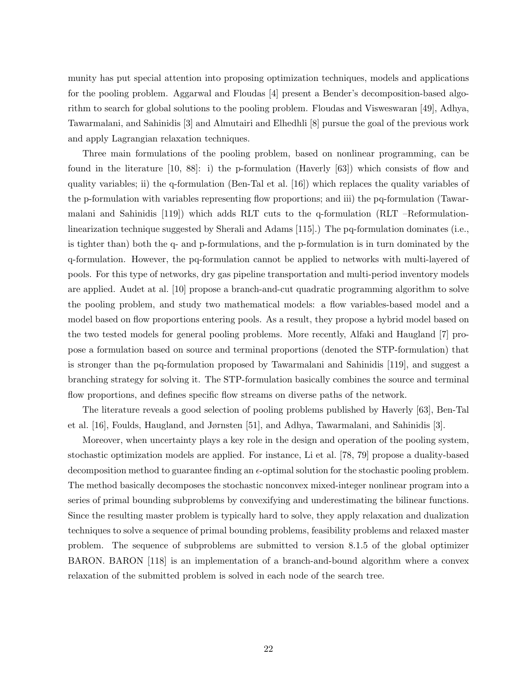munity has put special attention into proposing optimization techniques, models and applications for the pooling problem. Aggarwal and Floudas [4] present a Bender's decomposition-based algorithm to search for global solutions to the pooling problem. Floudas and Visweswaran [49], Adhya, Tawarmalani, and Sahinidis [3] and Almutairi and Elhedhli [8] pursue the goal of the previous work and apply Lagrangian relaxation techniques.

Three main formulations of the pooling problem, based on nonlinear programming, can be found in the literature [10, 88]: i) the p-formulation (Haverly [63]) which consists of flow and quality variables; ii) the q-formulation (Ben-Tal et al. [16]) which replaces the quality variables of the p-formulation with variables representing flow proportions; and iii) the pq-formulation (Tawarmalani and Sahinidis  $|119\rangle$  which adds RLT cuts to the q-formulation (RLT –Reformulationlinearization technique suggested by Sherali and Adams [115].) The pq-formulation dominates (i.e., is tighter than) both the q- and p-formulations, and the p-formulation is in turn dominated by the q-formulation. However, the pq-formulation cannot be applied to networks with multi-layered of pools. For this type of networks, dry gas pipeline transportation and multi-period inventory models are applied. Audet at al. [10] propose a branch-and-cut quadratic programming algorithm to solve the pooling problem, and study two mathematical models: a flow variables-based model and a model based on flow proportions entering pools. As a result, they propose a hybrid model based on the two tested models for general pooling problems. More recently, Alfaki and Haugland [7] propose a formulation based on source and terminal proportions (denoted the STP-formulation) that is stronger than the pq-formulation proposed by Tawarmalani and Sahinidis [119], and suggest a branching strategy for solving it. The STP-formulation basically combines the source and terminal flow proportions, and defines specific flow streams on diverse paths of the network.

The literature reveals a good selection of pooling problems published by Haverly [63], Ben-Tal et al. [16], Foulds, Haugland, and Jørnsten [51], and Adhya, Tawarmalani, and Sahinidis [3].

Moreover, when uncertainty plays a key role in the design and operation of the pooling system, stochastic optimization models are applied. For instance, Li et al. [78, 79] propose a duality-based decomposition method to guarantee finding an  $\epsilon$ -optimal solution for the stochastic pooling problem. The method basically decomposes the stochastic nonconvex mixed-integer nonlinear program into a series of primal bounding subproblems by convexifying and underestimating the bilinear functions. Since the resulting master problem is typically hard to solve, they apply relaxation and dualization techniques to solve a sequence of primal bounding problems, feasibility problems and relaxed master problem. The sequence of subproblems are submitted to version 8.1.5 of the global optimizer BARON. BARON [118] is an implementation of a branch-and-bound algorithm where a convex relaxation of the submitted problem is solved in each node of the search tree.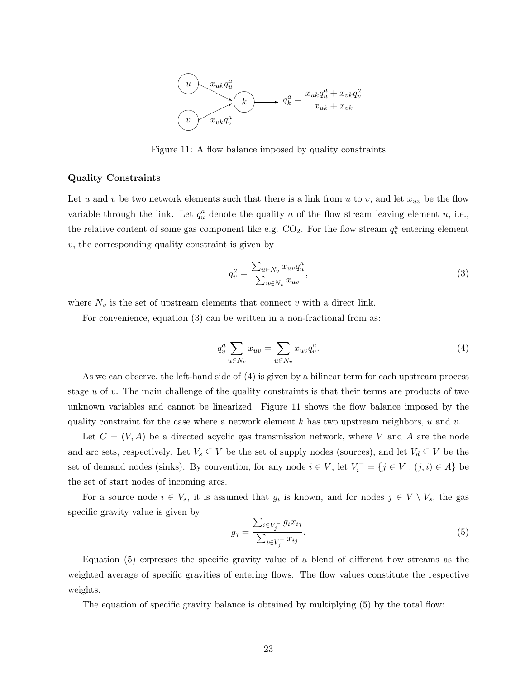

Figure 11: A flow balance imposed by quality constraints

#### Quality Constraints

Let u and v be two network elements such that there is a link from u to v, and let  $x_{uv}$  be the flow variable through the link. Let  $q_u^a$  denote the quality a of the flow stream leaving element u, i.e., the relative content of some gas component like e.g.  $CO_2$ . For the flow stream  $q_v^a$  entering element  $v$ , the corresponding quality constraint is given by

$$
q_v^a = \frac{\sum_{u \in N_v} x_{uv} q_u^a}{\sum_{u \in N_v} x_{uv}},\tag{3}
$$

where  $N_v$  is the set of upstream elements that connect v with a direct link.

For convenience, equation (3) can be written in a non-fractional from as:

$$
q_v^a \sum_{u \in N_v} x_{uv} = \sum_{u \in N_v} x_{uv} q_u^a. \tag{4}
$$

As we can observe, the left-hand side of (4) is given by a bilinear term for each upstream process stage  $u$  of  $v$ . The main challenge of the quality constraints is that their terms are products of two unknown variables and cannot be linearized. Figure 11 shows the flow balance imposed by the quality constraint for the case where a network element k has two upstream neighbors, u and v.

Let  $G = (V, A)$  be a directed acyclic gas transmission network, where V and A are the node and arc sets, respectively. Let  $V_s \subseteq V$  be the set of supply nodes (sources), and let  $V_d \subseteq V$  be the set of demand nodes (sinks). By convention, for any node  $i \in V$ , let  $V_i^- = \{j \in V : (j, i) \in A\}$  be the set of start nodes of incoming arcs.

For a source node  $i \in V_s$ , it is assumed that  $g_i$  is known, and for nodes  $j \in V \setminus V_s$ , the gas specific gravity value is given by

$$
g_j = \frac{\sum_{i \in V_j^-} g_i x_{ij}}{\sum_{i \in V_j^-} x_{ij}}.\tag{5}
$$

Equation (5) expresses the specific gravity value of a blend of different flow streams as the weighted average of specific gravities of entering flows. The flow values constitute the respective weights.

The equation of specific gravity balance is obtained by multiplying (5) by the total flow: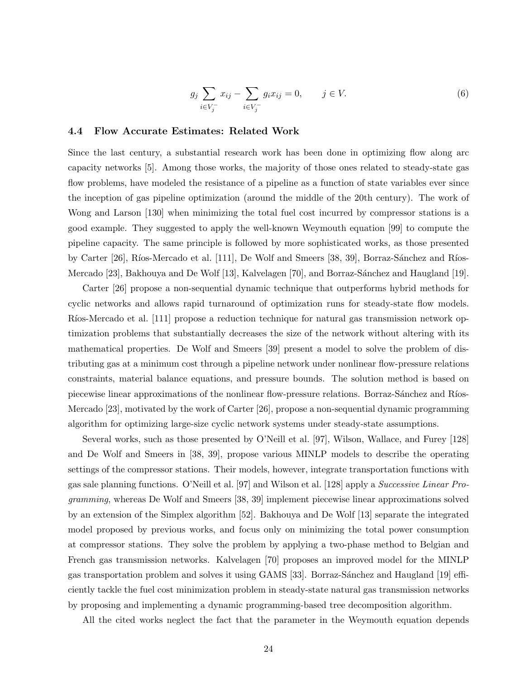$$
g_j \sum_{i \in V_j^-} x_{ij} - \sum_{i \in V_j^-} g_i x_{ij} = 0, \qquad j \in V. \tag{6}
$$

# 4.4 Flow Accurate Estimates: Related Work

Since the last century, a substantial research work has been done in optimizing flow along arc capacity networks [5]. Among those works, the majority of those ones related to steady-state gas flow problems, have modeled the resistance of a pipeline as a function of state variables ever since the inception of gas pipeline optimization (around the middle of the 20th century). The work of Wong and Larson [130] when minimizing the total fuel cost incurred by compressor stations is a good example. They suggested to apply the well-known Weymouth equation [99] to compute the pipeline capacity. The same principle is followed by more sophisticated works, as those presented by Carter [26], Ríos-Mercado et al. [111], De Wolf and Smeers [38, 39], Borraz-Sánchez and Ríos-Mercado [23], Bakhouya and De Wolf [13], Kalvelagen [70], and Borraz-Sánchez and Haugland [19].

Carter [26] propose a non-sequential dynamic technique that outperforms hybrid methods for cyclic networks and allows rapid turnaround of optimization runs for steady-state flow models. Ríos-Mercado et al. [111] propose a reduction technique for natural gas transmission network optimization problems that substantially decreases the size of the network without altering with its mathematical properties. De Wolf and Smeers [39] present a model to solve the problem of distributing gas at a minimum cost through a pipeline network under nonlinear flow-pressure relations constraints, material balance equations, and pressure bounds. The solution method is based on piecewise linear approximations of the nonlinear flow-pressure relations. Borraz-Sánchez and Ríos-Mercado [23], motivated by the work of Carter [26], propose a non-sequential dynamic programming algorithm for optimizing large-size cyclic network systems under steady-state assumptions.

Several works, such as those presented by O'Neill et al. [97], Wilson, Wallace, and Furey [128] and De Wolf and Smeers in [38, 39], propose various MINLP models to describe the operating settings of the compressor stations. Their models, however, integrate transportation functions with gas sale planning functions. O'Neill et al. [97] and Wilson et al. [128] apply a *Successive Linear Programming*, whereas De Wolf and Smeers [38, 39] implement piecewise linear approximations solved by an extension of the Simplex algorithm [52]. Bakhouya and De Wolf [13] separate the integrated model proposed by previous works, and focus only on minimizing the total power consumption at compressor stations. They solve the problem by applying a two-phase method to Belgian and French gas transmission networks. Kalvelagen [70] proposes an improved model for the MINLP gas transportation problem and solves it using GAMS [33]. Borraz-Sánchez and Haugland [19] efficiently tackle the fuel cost minimization problem in steady-state natural gas transmission networks by proposing and implementing a dynamic programming-based tree decomposition algorithm.

All the cited works neglect the fact that the parameter in the Weymouth equation depends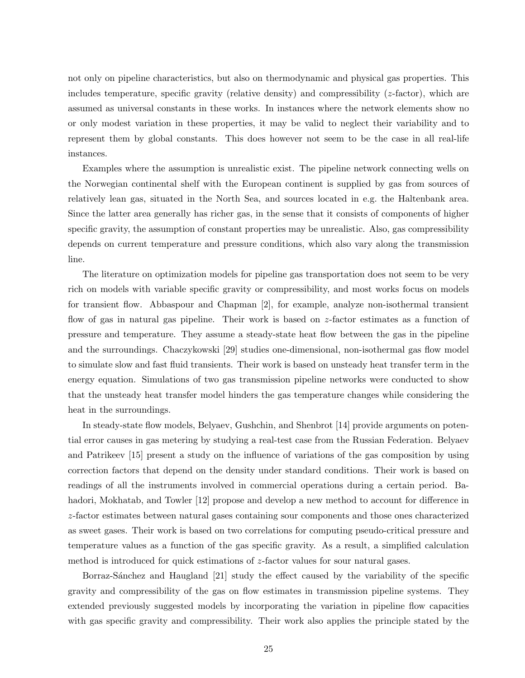not only on pipeline characteristics, but also on thermodynamic and physical gas properties. This includes temperature, specific gravity (relative density) and compressibility  $(z\text{-factor})$ , which are assumed as universal constants in these works. In instances where the network elements show no or only modest variation in these properties, it may be valid to neglect their variability and to represent them by global constants. This does however not seem to be the case in all real-life instances.

Examples where the assumption is unrealistic exist. The pipeline network connecting wells on the Norwegian continental shelf with the European continent is supplied by gas from sources of relatively lean gas, situated in the North Sea, and sources located in e.g. the Haltenbank area. Since the latter area generally has richer gas, in the sense that it consists of components of higher specific gravity, the assumption of constant properties may be unrealistic. Also, gas compressibility depends on current temperature and pressure conditions, which also vary along the transmission line.

The literature on optimization models for pipeline gas transportation does not seem to be very rich on models with variable specific gravity or compressibility, and most works focus on models for transient flow. Abbaspour and Chapman [2], for example, analyze non-isothermal transient flow of gas in natural gas pipeline. Their work is based on z-factor estimates as a function of pressure and temperature. They assume a steady-state heat flow between the gas in the pipeline and the surroundings. Chaczykowski [29] studies one-dimensional, non-isothermal gas flow model to simulate slow and fast fluid transients. Their work is based on unsteady heat transfer term in the energy equation. Simulations of two gas transmission pipeline networks were conducted to show that the unsteady heat transfer model hinders the gas temperature changes while considering the heat in the surroundings.

In steady-state flow models, Belyaev, Gushchin, and Shenbrot [14] provide arguments on potential error causes in gas metering by studying a real-test case from the Russian Federation. Belyaev and Patrikeev [15] present a study on the influence of variations of the gas composition by using correction factors that depend on the density under standard conditions. Their work is based on readings of all the instruments involved in commercial operations during a certain period. Bahadori, Mokhatab, and Towler [12] propose and develop a new method to account for difference in z-factor estimates between natural gases containing sour components and those ones characterized as sweet gases. Their work is based on two correlations for computing pseudo-critical pressure and temperature values as a function of the gas specific gravity. As a result, a simplified calculation method is introduced for quick estimations of z-factor values for sour natural gases.

Borraz-Sánchez and Haugland [21] study the effect caused by the variability of the specific gravity and compressibility of the gas on flow estimates in transmission pipeline systems. They extended previously suggested models by incorporating the variation in pipeline flow capacities with gas specific gravity and compressibility. Their work also applies the principle stated by the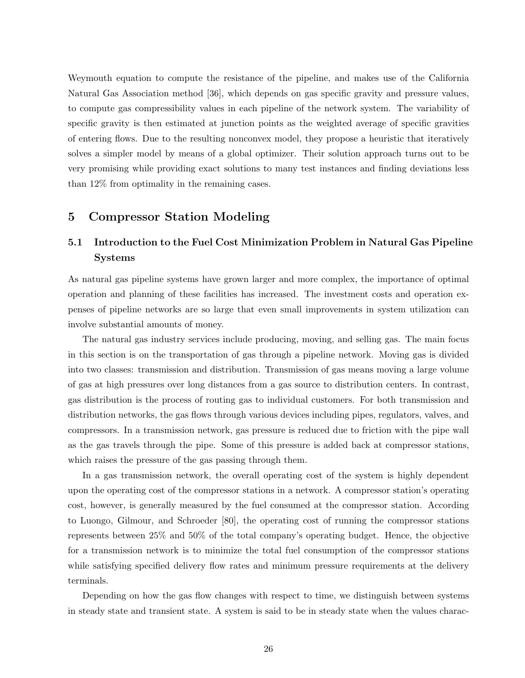Weymouth equation to compute the resistance of the pipeline, and makes use of the California Natural Gas Association method [36], which depends on gas specific gravity and pressure values, to compute gas compressibility values in each pipeline of the network system. The variability of specific gravity is then estimated at junction points as the weighted average of specific gravities of entering flows. Due to the resulting nonconvex model, they propose a heuristic that iteratively solves a simpler model by means of a global optimizer. Their solution approach turns out to be very promising while providing exact solutions to many test instances and finding deviations less than 12% from optimality in the remaining cases.

# 5 Compressor Station Modeling

# 5.1 Introduction to the Fuel Cost Minimization Problem in Natural Gas Pipeline Systems

As natural gas pipeline systems have grown larger and more complex, the importance of optimal operation and planning of these facilities has increased. The investment costs and operation expenses of pipeline networks are so large that even small improvements in system utilization can involve substantial amounts of money.

The natural gas industry services include producing, moving, and selling gas. The main focus in this section is on the transportation of gas through a pipeline network. Moving gas is divided into two classes: transmission and distribution. Transmission of gas means moving a large volume of gas at high pressures over long distances from a gas source to distribution centers. In contrast, gas distribution is the process of routing gas to individual customers. For both transmission and distribution networks, the gas flows through various devices including pipes, regulators, valves, and compressors. In a transmission network, gas pressure is reduced due to friction with the pipe wall as the gas travels through the pipe. Some of this pressure is added back at compressor stations, which raises the pressure of the gas passing through them.

In a gas transmission network, the overall operating cost of the system is highly dependent upon the operating cost of the compressor stations in a network. A compressor station's operating cost, however, is generally measured by the fuel consumed at the compressor station. According to Luongo, Gilmour, and Schroeder [80], the operating cost of running the compressor stations represents between 25% and 50% of the total company's operating budget. Hence, the objective for a transmission network is to minimize the total fuel consumption of the compressor stations while satisfying specified delivery flow rates and minimum pressure requirements at the delivery terminals.

Depending on how the gas flow changes with respect to time, we distinguish between systems in steady state and transient state. A system is said to be in steady state when the values charac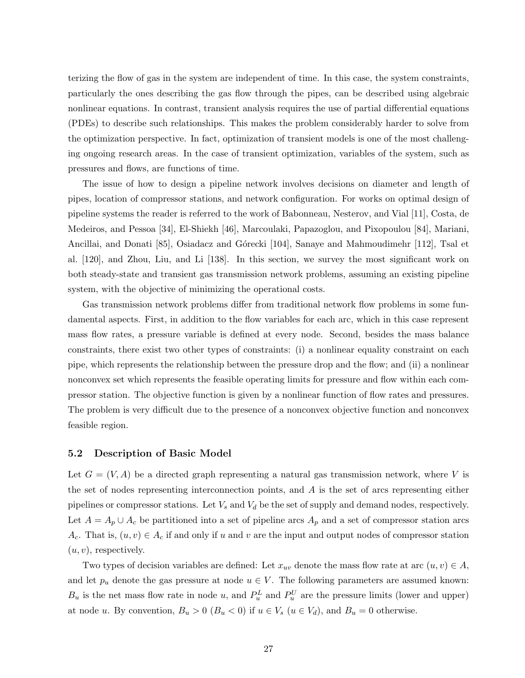terizing the flow of gas in the system are independent of time. In this case, the system constraints, particularly the ones describing the gas flow through the pipes, can be described using algebraic nonlinear equations. In contrast, transient analysis requires the use of partial differential equations (PDEs) to describe such relationships. This makes the problem considerably harder to solve from the optimization perspective. In fact, optimization of transient models is one of the most challenging ongoing research areas. In the case of transient optimization, variables of the system, such as pressures and flows, are functions of time.

The issue of how to design a pipeline network involves decisions on diameter and length of pipes, location of compressor stations, and network configuration. For works on optimal design of pipeline systems the reader is referred to the work of Babonneau, Nesterov, and Vial [11], Costa, de Medeiros, and Pessoa [34], El-Shiekh [46], Marcoulaki, Papazoglou, and Pixopoulou [84], Mariani, Ancillai, and Donati [85], Osiadacz and Górecki [104], Sanaye and Mahmoudimehr [112], Tsal et al. [120], and Zhou, Liu, and Li [138]. In this section, we survey the most significant work on both steady-state and transient gas transmission network problems, assuming an existing pipeline system, with the objective of minimizing the operational costs.

Gas transmission network problems differ from traditional network flow problems in some fundamental aspects. First, in addition to the flow variables for each arc, which in this case represent mass flow rates, a pressure variable is defined at every node. Second, besides the mass balance constraints, there exist two other types of constraints: (i) a nonlinear equality constraint on each pipe, which represents the relationship between the pressure drop and the flow; and (ii) a nonlinear nonconvex set which represents the feasible operating limits for pressure and flow within each compressor station. The objective function is given by a nonlinear function of flow rates and pressures. The problem is very difficult due to the presence of a nonconvex objective function and nonconvex feasible region.

## 5.2 Description of Basic Model

Let  $G = (V, A)$  be a directed graph representing a natural gas transmission network, where V is the set of nodes representing interconnection points, and A is the set of arcs representing either pipelines or compressor stations. Let  $V_s$  and  $V_d$  be the set of supply and demand nodes, respectively. Let  $A = A_p \cup A_c$  be partitioned into a set of pipeline arcs  $A_p$  and a set of compressor station arcs  $A_c$ . That is,  $(u, v) \in A_c$  if and only if u and v are the input and output nodes of compressor station  $(u, v)$ , respectively.

Two types of decision variables are defined: Let  $x_{uv}$  denote the mass flow rate at arc  $(u, v) \in A$ , and let  $p_u$  denote the gas pressure at node  $u \in V$ . The following parameters are assumed known:  $B_u$  is the net mass flow rate in node u, and  $P_u^L$  and  $P_u^U$  are the pressure limits (lower and upper) at node u. By convention,  $B_u > 0$   $(B_u < 0)$  if  $u \in V_s$   $(u \in V_d)$ , and  $B_u = 0$  otherwise.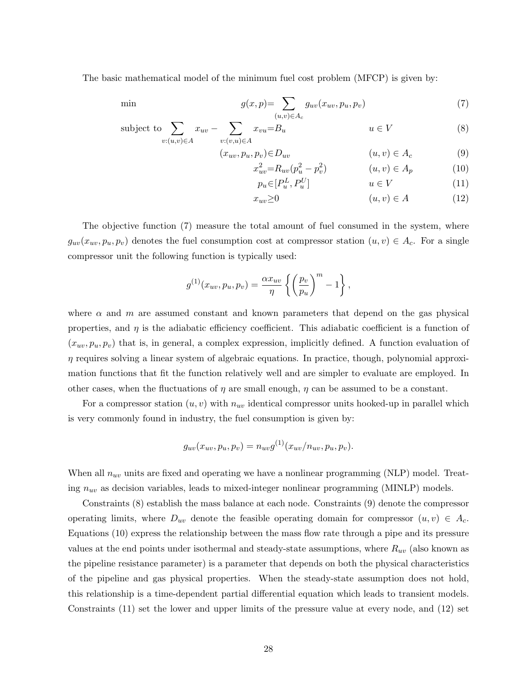The basic mathematical model of the minimum fuel cost problem (MFCP) is given by:

min 
$$
g(x, p) = \sum_{(u,v)\in A_c} g_{uv}(x_{uv}, p_u, p_v)
$$
 (7)

subject to 
$$
\sum_{v:(u,v)\in A} x_{uv} - \sum_{v:(v,u)\in A} x_{vu} = B_u \qquad u \in V
$$
 (8)

$$
(x_{uv}, p_u, p_v) \in D_{uv} \qquad (u, v) \in A_c \qquad (9)
$$

$$
x_{uv}^2 = R_{uv}(p_u^2 - p_v^2) \tag{10}
$$

$$
p_u \in [P_u^L, P_u^U] \qquad \qquad u \in V \tag{11}
$$

$$
x_{uv} \ge 0 \qquad (u, v) \in A \qquad (12)
$$

The objective function (7) measure the total amount of fuel consumed in the system, where  $g_{uv}(x_{uv}, p_u, p_v)$  denotes the fuel consumption cost at compressor station  $(u, v) \in A_c$ . For a single compressor unit the following function is typically used:

$$
g^{(1)}(x_{uv}, p_u, p_v) = \frac{\alpha x_{uv}}{\eta} \left\{ \left(\frac{p_v}{p_u}\right)^m - 1 \right\},\,
$$

where  $\alpha$  and m are assumed constant and known parameters that depend on the gas physical properties, and  $\eta$  is the adiabatic efficiency coefficient. This adiabatic coefficient is a function of  $(x_{uv}, p_u, p_v)$  that is, in general, a complex expression, implicitly defined. A function evaluation of  $\eta$  requires solving a linear system of algebraic equations. In practice, though, polynomial approximation functions that fit the function relatively well and are simpler to evaluate are employed. In other cases, when the fluctuations of  $\eta$  are small enough,  $\eta$  can be assumed to be a constant.

For a compressor station  $(u, v)$  with  $n_{uv}$  identical compressor units hooked-up in parallel which is very commonly found in industry, the fuel consumption is given by:

$$
g_{uv}(x_{uv}, p_u, p_v) = n_{uv}g^{(1)}(x_{uv}/n_{uv}, p_u, p_v).
$$

When all  $n_{uv}$  units are fixed and operating we have a nonlinear programming (NLP) model. Treating  $n_{uv}$  as decision variables, leads to mixed-integer nonlinear programming (MINLP) models.

Constraints (8) establish the mass balance at each node. Constraints (9) denote the compressor operating limits, where  $D_{uv}$  denote the feasible operating domain for compressor  $(u, v) \in A_c$ . Equations (10) express the relationship between the mass flow rate through a pipe and its pressure values at the end points under isothermal and steady-state assumptions, where  $R_{uv}$  (also known as the pipeline resistance parameter) is a parameter that depends on both the physical characteristics of the pipeline and gas physical properties. When the steady-state assumption does not hold, this relationship is a time-dependent partial differential equation which leads to transient models. Constraints (11) set the lower and upper limits of the pressure value at every node, and (12) set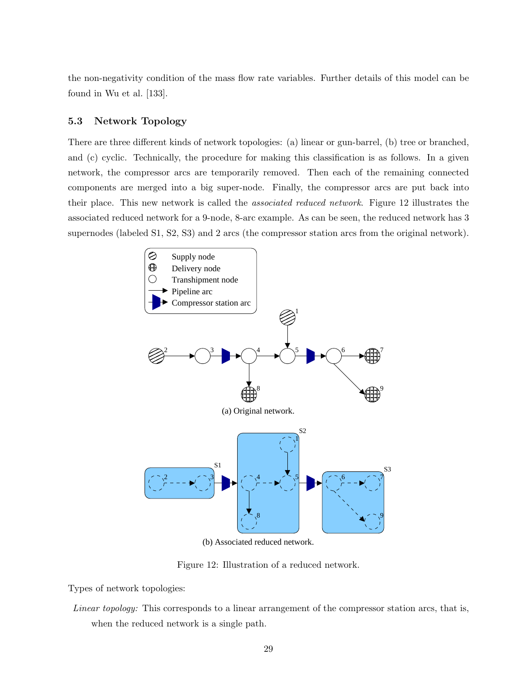the non-negativity condition of the mass flow rate variables. Further details of this model can be found in Wu et al. [133].

# 5.3 Network Topology

There are three different kinds of network topologies: (a) linear or gun-barrel, (b) tree or branched, and (c) cyclic. Technically, the procedure for making this classification is as follows. In a given network, the compressor arcs are temporarily removed. Then each of the remaining connected components are merged into a big super-node. Finally, the compressor arcs are put back into their place. This new network is called the *associated reduced network*. Figure 12 illustrates the associated reduced network for a 9-node, 8-arc example. As can be seen, the reduced network has 3 supernodes (labeled S1, S2, S3) and 2 arcs (the compressor station arcs from the original network).



(b) Associated reduced network.

Figure 12: Illustration of a reduced network.

Types of network topologies:

*Linear topology:* This corresponds to a linear arrangement of the compressor station arcs, that is, when the reduced network is a single path.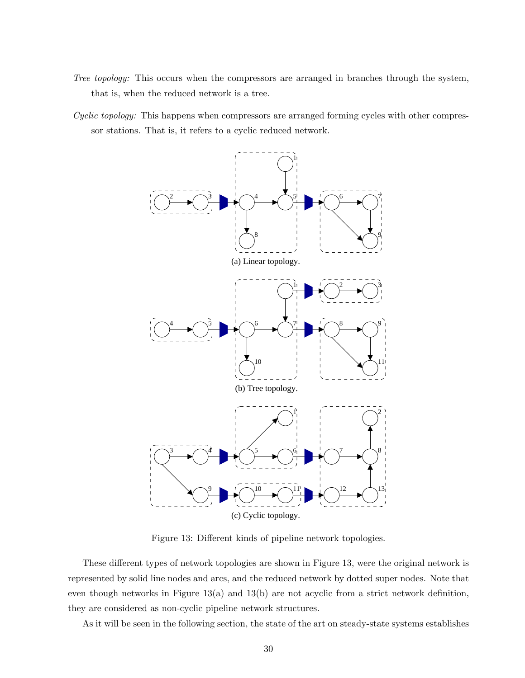- *Tree topology:* This occurs when the compressors are arranged in branches through the system, that is, when the reduced network is a tree.
- *Cyclic topology:* This happens when compressors are arranged forming cycles with other compressor stations. That is, it refers to a cyclic reduced network.



Figure 13: Different kinds of pipeline network topologies.

These different types of network topologies are shown in Figure 13, were the original network is represented by solid line nodes and arcs, and the reduced network by dotted super nodes. Note that even though networks in Figure 13(a) and 13(b) are not acyclic from a strict network definition, they are considered as non-cyclic pipeline network structures.

As it will be seen in the following section, the state of the art on steady-state systems establishes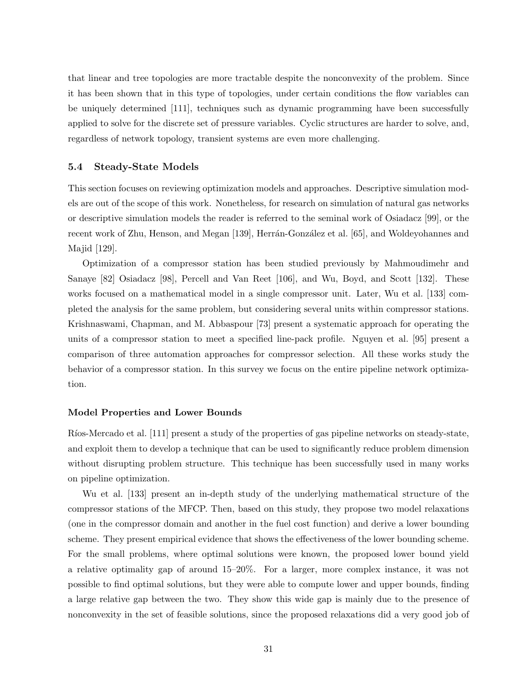that linear and tree topologies are more tractable despite the nonconvexity of the problem. Since it has been shown that in this type of topologies, under certain conditions the flow variables can be uniquely determined [111], techniques such as dynamic programming have been successfully applied to solve for the discrete set of pressure variables. Cyclic structures are harder to solve, and, regardless of network topology, transient systems are even more challenging.

## 5.4 Steady-State Models

This section focuses on reviewing optimization models and approaches. Descriptive simulation models are out of the scope of this work. Nonetheless, for research on simulation of natural gas networks or descriptive simulation models the reader is referred to the seminal work of Osiadacz [99], or the recent work of Zhu, Henson, and Megan [139], Herrán-González et al. [65], and Woldeyohannes and Majid [129].

Optimization of a compressor station has been studied previously by Mahmoudimehr and Sanaye [82] Osiadacz [98], Percell and Van Reet [106], and Wu, Boyd, and Scott [132]. These works focused on a mathematical model in a single compressor unit. Later, Wu et al. [133] completed the analysis for the same problem, but considering several units within compressor stations. Krishnaswami, Chapman, and M. Abbaspour [73] present a systematic approach for operating the units of a compressor station to meet a specified line-pack profile. Nguyen et al. [95] present a comparison of three automation approaches for compressor selection. All these works study the behavior of a compressor station. In this survey we focus on the entire pipeline network optimization.

## Model Properties and Lower Bounds

Ríos-Mercado et al. [111] present a study of the properties of gas pipeline networks on steady-state, and exploit them to develop a technique that can be used to significantly reduce problem dimension without disrupting problem structure. This technique has been successfully used in many works on pipeline optimization.

Wu et al. [133] present an in-depth study of the underlying mathematical structure of the compressor stations of the MFCP. Then, based on this study, they propose two model relaxations (one in the compressor domain and another in the fuel cost function) and derive a lower bounding scheme. They present empirical evidence that shows the effectiveness of the lower bounding scheme. For the small problems, where optimal solutions were known, the proposed lower bound yield a relative optimality gap of around 15–20%. For a larger, more complex instance, it was not possible to find optimal solutions, but they were able to compute lower and upper bounds, finding a large relative gap between the two. They show this wide gap is mainly due to the presence of nonconvexity in the set of feasible solutions, since the proposed relaxations did a very good job of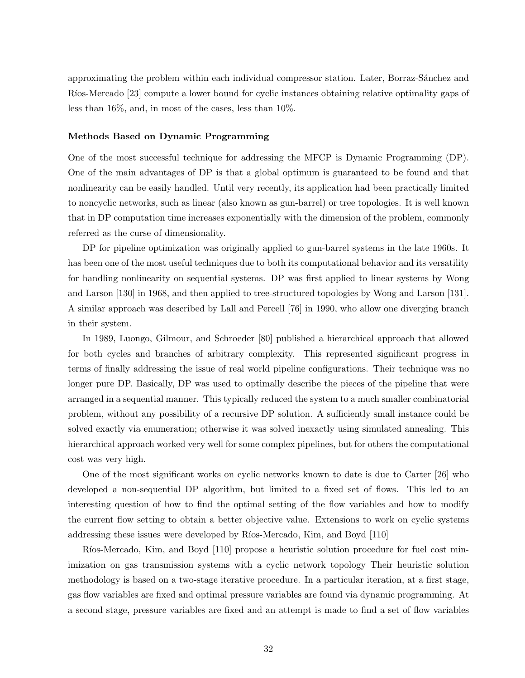approximating the problem within each individual compressor station. Later, Borraz-Sánchez and Ríos-Mercado [23] compute a lower bound for cyclic instances obtaining relative optimality gaps of less than 16%, and, in most of the cases, less than 10%.

# Methods Based on Dynamic Programming

One of the most successful technique for addressing the MFCP is Dynamic Programming (DP). One of the main advantages of DP is that a global optimum is guaranteed to be found and that nonlinearity can be easily handled. Until very recently, its application had been practically limited to noncyclic networks, such as linear (also known as gun-barrel) or tree topologies. It is well known that in DP computation time increases exponentially with the dimension of the problem, commonly referred as the curse of dimensionality.

DP for pipeline optimization was originally applied to gun-barrel systems in the late 1960s. It has been one of the most useful techniques due to both its computational behavior and its versatility for handling nonlinearity on sequential systems. DP was first applied to linear systems by Wong and Larson [130] in 1968, and then applied to tree-structured topologies by Wong and Larson [131]. A similar approach was described by Lall and Percell [76] in 1990, who allow one diverging branch in their system.

In 1989, Luongo, Gilmour, and Schroeder [80] published a hierarchical approach that allowed for both cycles and branches of arbitrary complexity. This represented significant progress in terms of finally addressing the issue of real world pipeline configurations. Their technique was no longer pure DP. Basically, DP was used to optimally describe the pieces of the pipeline that were arranged in a sequential manner. This typically reduced the system to a much smaller combinatorial problem, without any possibility of a recursive DP solution. A sufficiently small instance could be solved exactly via enumeration; otherwise it was solved inexactly using simulated annealing. This hierarchical approach worked very well for some complex pipelines, but for others the computational cost was very high.

One of the most significant works on cyclic networks known to date is due to Carter [26] who developed a non-sequential DP algorithm, but limited to a fixed set of flows. This led to an interesting question of how to find the optimal setting of the flow variables and how to modify the current flow setting to obtain a better objective value. Extensions to work on cyclic systems addressing these issues were developed by Ríos-Mercado, Kim, and Boyd [110]

Ríos-Mercado, Kim, and Boyd [110] propose a heuristic solution procedure for fuel cost minimization on gas transmission systems with a cyclic network topology Their heuristic solution methodology is based on a two-stage iterative procedure. In a particular iteration, at a first stage, gas flow variables are fixed and optimal pressure variables are found via dynamic programming. At a second stage, pressure variables are fixed and an attempt is made to find a set of flow variables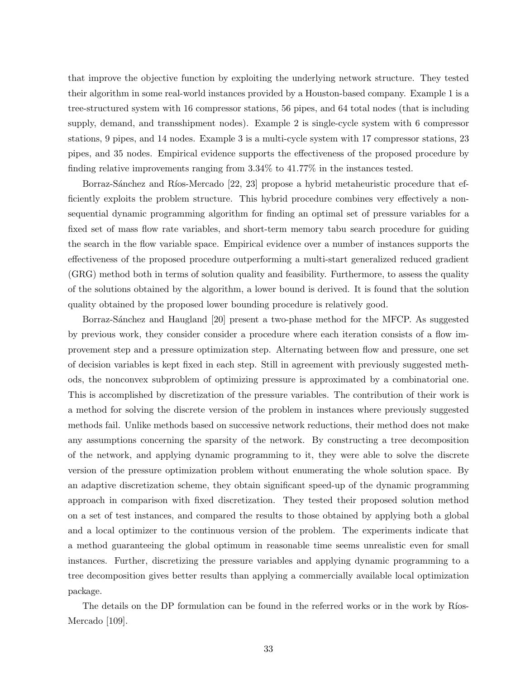that improve the objective function by exploiting the underlying network structure. They tested their algorithm in some real-world instances provided by a Houston-based company. Example 1 is a tree-structured system with 16 compressor stations, 56 pipes, and 64 total nodes (that is including supply, demand, and transshipment nodes). Example 2 is single-cycle system with 6 compressor stations, 9 pipes, and 14 nodes. Example 3 is a multi-cycle system with 17 compressor stations, 23 pipes, and 35 nodes. Empirical evidence supports the effectiveness of the proposed procedure by finding relative improvements ranging from 3.34% to 41.77% in the instances tested.

Borraz-Sánchez and Ríos-Mercado [22, 23] propose a hybrid metaheuristic procedure that efficiently exploits the problem structure. This hybrid procedure combines very effectively a nonsequential dynamic programming algorithm for finding an optimal set of pressure variables for a fixed set of mass flow rate variables, and short-term memory tabu search procedure for guiding the search in the flow variable space. Empirical evidence over a number of instances supports the effectiveness of the proposed procedure outperforming a multi-start generalized reduced gradient (GRG) method both in terms of solution quality and feasibility. Furthermore, to assess the quality of the solutions obtained by the algorithm, a lower bound is derived. It is found that the solution quality obtained by the proposed lower bounding procedure is relatively good.

Borraz-Sánchez and Haugland [20] present a two-phase method for the MFCP. As suggested by previous work, they consider consider a procedure where each iteration consists of a flow improvement step and a pressure optimization step. Alternating between flow and pressure, one set of decision variables is kept fixed in each step. Still in agreement with previously suggested methods, the nonconvex subproblem of optimizing pressure is approximated by a combinatorial one. This is accomplished by discretization of the pressure variables. The contribution of their work is a method for solving the discrete version of the problem in instances where previously suggested methods fail. Unlike methods based on successive network reductions, their method does not make any assumptions concerning the sparsity of the network. By constructing a tree decomposition of the network, and applying dynamic programming to it, they were able to solve the discrete version of the pressure optimization problem without enumerating the whole solution space. By an adaptive discretization scheme, they obtain significant speed-up of the dynamic programming approach in comparison with fixed discretization. They tested their proposed solution method on a set of test instances, and compared the results to those obtained by applying both a global and a local optimizer to the continuous version of the problem. The experiments indicate that a method guaranteeing the global optimum in reasonable time seems unrealistic even for small instances. Further, discretizing the pressure variables and applying dynamic programming to a tree decomposition gives better results than applying a commercially available local optimization package.

The details on the DP formulation can be found in the referred works or in the work by Ríos-Mercado [109].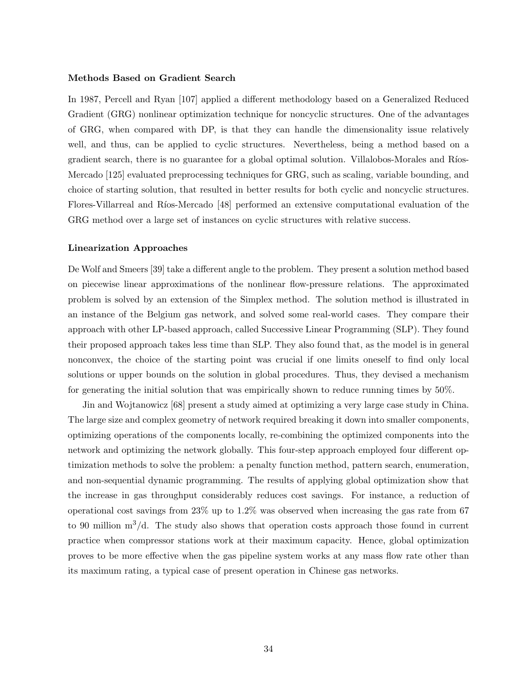#### Methods Based on Gradient Search

In 1987, Percell and Ryan [107] applied a different methodology based on a Generalized Reduced Gradient (GRG) nonlinear optimization technique for noncyclic structures. One of the advantages of GRG, when compared with DP, is that they can handle the dimensionality issue relatively well, and thus, can be applied to cyclic structures. Nevertheless, being a method based on a gradient search, there is no guarantee for a global optimal solution. Villalobos-Morales and Ríos-Mercado [125] evaluated preprocessing techniques for GRG, such as scaling, variable bounding, and choice of starting solution, that resulted in better results for both cyclic and noncyclic structures. Flores-Villarreal and Ríos-Mercado [48] performed an extensive computational evaluation of the GRG method over a large set of instances on cyclic structures with relative success.

#### Linearization Approaches

De Wolf and Smeers [39] take a different angle to the problem. They present a solution method based on piecewise linear approximations of the nonlinear flow-pressure relations. The approximated problem is solved by an extension of the Simplex method. The solution method is illustrated in an instance of the Belgium gas network, and solved some real-world cases. They compare their approach with other LP-based approach, called Successive Linear Programming (SLP). They found their proposed approach takes less time than SLP. They also found that, as the model is in general nonconvex, the choice of the starting point was crucial if one limits oneself to find only local solutions or upper bounds on the solution in global procedures. Thus, they devised a mechanism for generating the initial solution that was empirically shown to reduce running times by 50%.

Jin and Wojtanowicz [68] present a study aimed at optimizing a very large case study in China. The large size and complex geometry of network required breaking it down into smaller components, optimizing operations of the components locally, re-combining the optimized components into the network and optimizing the network globally. This four-step approach employed four different optimization methods to solve the problem: a penalty function method, pattern search, enumeration, and non-sequential dynamic programming. The results of applying global optimization show that the increase in gas throughput considerably reduces cost savings. For instance, a reduction of operational cost savings from  $23\%$  up to  $1.2\%$  was observed when increasing the gas rate from 67 to 90 million  $m^3/d$ . The study also shows that operation costs approach those found in current practice when compressor stations work at their maximum capacity. Hence, global optimization proves to be more effective when the gas pipeline system works at any mass flow rate other than its maximum rating, a typical case of present operation in Chinese gas networks.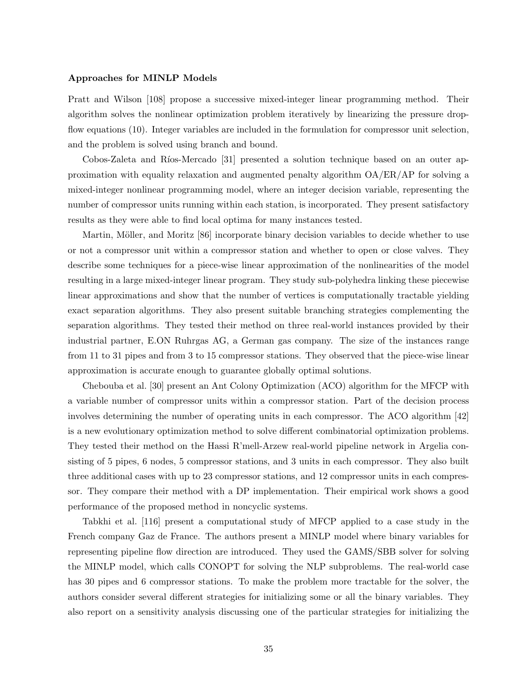#### Approaches for MINLP Models

Pratt and Wilson [108] propose a successive mixed-integer linear programming method. Their algorithm solves the nonlinear optimization problem iteratively by linearizing the pressure dropflow equations (10). Integer variables are included in the formulation for compressor unit selection, and the problem is solved using branch and bound.

Cobos-Zaleta and Ríos-Mercado [31] presented a solution technique based on an outer approximation with equality relaxation and augmented penalty algorithm OA/ER/AP for solving a mixed-integer nonlinear programming model, where an integer decision variable, representing the number of compressor units running within each station, is incorporated. They present satisfactory results as they were able to find local optima for many instances tested.

Martin, Möller, and Moritz [86] incorporate binary decision variables to decide whether to use or not a compressor unit within a compressor station and whether to open or close valves. They describe some techniques for a piece-wise linear approximation of the nonlinearities of the model resulting in a large mixed-integer linear program. They study sub-polyhedra linking these piecewise linear approximations and show that the number of vertices is computationally tractable yielding exact separation algorithms. They also present suitable branching strategies complementing the separation algorithms. They tested their method on three real-world instances provided by their industrial partner, E.ON Ruhrgas AG, a German gas company. The size of the instances range from 11 to 31 pipes and from 3 to 15 compressor stations. They observed that the piece-wise linear approximation is accurate enough to guarantee globally optimal solutions.

Chebouba et al. [30] present an Ant Colony Optimization (ACO) algorithm for the MFCP with a variable number of compressor units within a compressor station. Part of the decision process involves determining the number of operating units in each compressor. The ACO algorithm [42] is a new evolutionary optimization method to solve different combinatorial optimization problems. They tested their method on the Hassi R'mell-Arzew real-world pipeline network in Argelia consisting of 5 pipes, 6 nodes, 5 compressor stations, and 3 units in each compressor. They also built three additional cases with up to 23 compressor stations, and 12 compressor units in each compressor. They compare their method with a DP implementation. Their empirical work shows a good performance of the proposed method in noncyclic systems.

Tabkhi et al. [116] present a computational study of MFCP applied to a case study in the French company Gaz de France. The authors present a MINLP model where binary variables for representing pipeline flow direction are introduced. They used the GAMS/SBB solver for solving the MINLP model, which calls CONOPT for solving the NLP subproblems. The real-world case has 30 pipes and 6 compressor stations. To make the problem more tractable for the solver, the authors consider several different strategies for initializing some or all the binary variables. They also report on a sensitivity analysis discussing one of the particular strategies for initializing the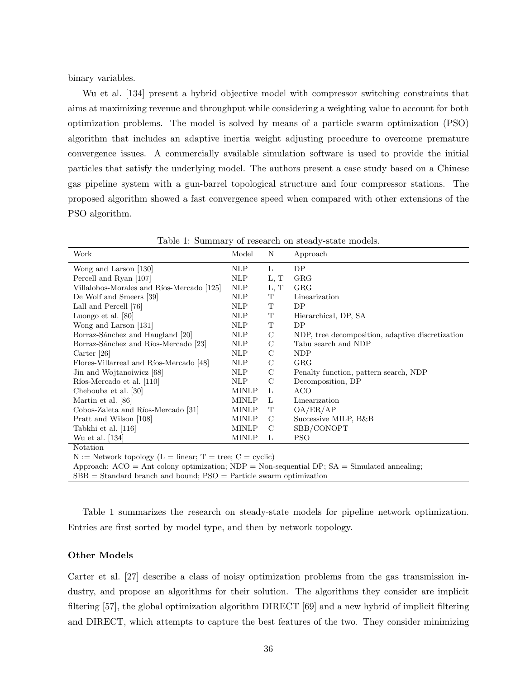binary variables.

Wu et al. [134] present a hybrid objective model with compressor switching constraints that aims at maximizing revenue and throughput while considering a weighting value to account for both optimization problems. The model is solved by means of a particle swarm optimization (PSO) algorithm that includes an adaptive inertia weight adjusting procedure to overcome premature convergence issues. A commercially available simulation software is used to provide the initial particles that satisfy the underlying model. The authors present a case study based on a Chinese gas pipeline system with a gun-barrel topological structure and four compressor stations. The proposed algorithm showed a fast convergence speed when compared with other extensions of the PSO algorithm.

| Work                                      | Model        | N             | Approach                                         |
|-------------------------------------------|--------------|---------------|--------------------------------------------------|
| Wong and Larson [130]                     | <b>NLP</b>   | L             | DP                                               |
| Percell and Ryan [107]                    | <b>NLP</b>   | L, T          | GRG                                              |
| Villalobos-Morales and Ríos-Mercado [125] | <b>NLP</b>   | L, T          | GRG                                              |
| De Wolf and Smeers [39]                   | <b>NLP</b>   | T             | Linearization                                    |
| Lall and Percell [76]                     | <b>NLP</b>   | T             | DP                                               |
| Luongo et al. [80]                        | <b>NLP</b>   | T             | Hierarchical, DP, SA                             |
| Wong and Larson [131]                     | NLP          | T             | DP                                               |
| Borraz-Sánchez and Haugland [20]          | <b>NLP</b>   | C             | NDP, tree decomposition, adaptive discretization |
| Borraz-Sánchez and Ríos-Mercado [23]      | NLP          | $\mathcal{C}$ | Tabu search and NDP                              |
| Carter $ 26 $                             | <b>NLP</b>   | С             | <b>NDP</b>                                       |
| Flores-Villarreal and Ríos-Mercado [48]   | <b>NLP</b>   | C             | $_{\rm GRG}$                                     |
| Jin and Wojtanoiwicz [68]                 | NLP          | C             | Penalty function, pattern search, NDP            |
| Ríos-Mercado et al. [110]                 | <b>NLP</b>   | C             | Decomposition, DP                                |
| Chebouba et al. [30]                      | <b>MINLP</b> | L             | <b>ACO</b>                                       |
| Martin et al. [86]                        | <b>MINLP</b> | L             | Linearization                                    |
| Cobos-Zaleta and Ríos-Mercado [31]        | <b>MINLP</b> | T             | OA/ER/AP                                         |
| Pratt and Wilson [108]                    | <b>MINLP</b> | C             | Successive MILP, B&B                             |
| Tabkhi et al. [116]                       | <b>MINLP</b> | C             | SBB/CONOPT                                       |
| Wu et al. [134]                           | <b>MINLP</b> | L             | <b>PSO</b>                                       |
| <b>Notation</b>                           |              |               |                                                  |

Table 1: Summary of research on steady-state models.

 $N :=$  Network topology (L = linear; T = tree; C = cyclic)

Approach:  $ACO = Ant$  colony optimization;  $NDP = Non-sequential DP$ ;  $SA = Simulated annealing$ ;

 $SBB = Standard branch and bound; PSO = Particle swarm optimization$ 

Table 1 summarizes the research on steady-state models for pipeline network optimization. Entries are first sorted by model type, and then by network topology.

# Other Models

Carter et al. [27] describe a class of noisy optimization problems from the gas transmission industry, and propose an algorithms for their solution. The algorithms they consider are implicit filtering [57], the global optimization algorithm DIRECT [69] and a new hybrid of implicit filtering and DIRECT, which attempts to capture the best features of the two. They consider minimizing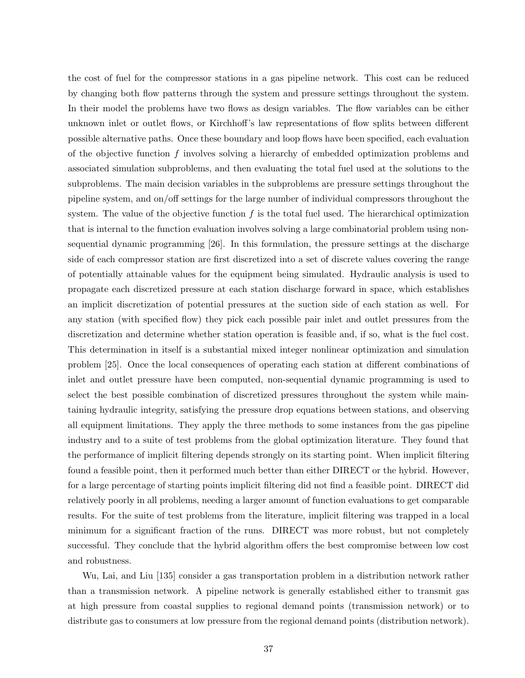the cost of fuel for the compressor stations in a gas pipeline network. This cost can be reduced by changing both flow patterns through the system and pressure settings throughout the system. In their model the problems have two flows as design variables. The flow variables can be either unknown inlet or outlet flows, or Kirchhoff's law representations of flow splits between different possible alternative paths. Once these boundary and loop flows have been specified, each evaluation of the objective function f involves solving a hierarchy of embedded optimization problems and associated simulation subproblems, and then evaluating the total fuel used at the solutions to the subproblems. The main decision variables in the subproblems are pressure settings throughout the pipeline system, and on/off settings for the large number of individual compressors throughout the system. The value of the objective function  $f$  is the total fuel used. The hierarchical optimization that is internal to the function evaluation involves solving a large combinatorial problem using nonsequential dynamic programming [26]. In this formulation, the pressure settings at the discharge side of each compressor station are first discretized into a set of discrete values covering the range of potentially attainable values for the equipment being simulated. Hydraulic analysis is used to propagate each discretized pressure at each station discharge forward in space, which establishes an implicit discretization of potential pressures at the suction side of each station as well. For any station (with specified flow) they pick each possible pair inlet and outlet pressures from the discretization and determine whether station operation is feasible and, if so, what is the fuel cost. This determination in itself is a substantial mixed integer nonlinear optimization and simulation problem [25]. Once the local consequences of operating each station at different combinations of inlet and outlet pressure have been computed, non-sequential dynamic programming is used to select the best possible combination of discretized pressures throughout the system while maintaining hydraulic integrity, satisfying the pressure drop equations between stations, and observing all equipment limitations. They apply the three methods to some instances from the gas pipeline industry and to a suite of test problems from the global optimization literature. They found that the performance of implicit filtering depends strongly on its starting point. When implicit filtering found a feasible point, then it performed much better than either DIRECT or the hybrid. However, for a large percentage of starting points implicit filtering did not find a feasible point. DIRECT did relatively poorly in all problems, needing a larger amount of function evaluations to get comparable results. For the suite of test problems from the literature, implicit filtering was trapped in a local minimum for a significant fraction of the runs. DIRECT was more robust, but not completely successful. They conclude that the hybrid algorithm offers the best compromise between low cost and robustness.

Wu, Lai, and Liu [135] consider a gas transportation problem in a distribution network rather than a transmission network. A pipeline network is generally established either to transmit gas at high pressure from coastal supplies to regional demand points (transmission network) or to distribute gas to consumers at low pressure from the regional demand points (distribution network).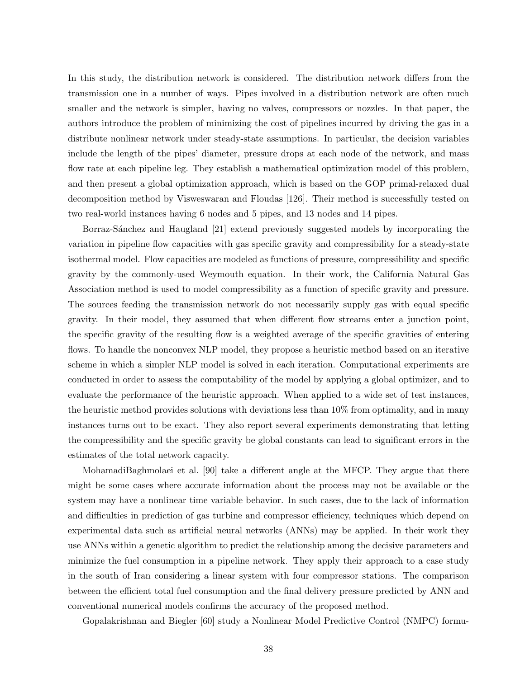In this study, the distribution network is considered. The distribution network differs from the transmission one in a number of ways. Pipes involved in a distribution network are often much smaller and the network is simpler, having no valves, compressors or nozzles. In that paper, the authors introduce the problem of minimizing the cost of pipelines incurred by driving the gas in a distribute nonlinear network under steady-state assumptions. In particular, the decision variables include the length of the pipes' diameter, pressure drops at each node of the network, and mass flow rate at each pipeline leg. They establish a mathematical optimization model of this problem, and then present a global optimization approach, which is based on the GOP primal-relaxed dual decomposition method by Visweswaran and Floudas [126]. Their method is successfully tested on two real-world instances having 6 nodes and 5 pipes, and 13 nodes and 14 pipes.

Borraz-Sánchez and Haugland [21] extend previously suggested models by incorporating the variation in pipeline flow capacities with gas specific gravity and compressibility for a steady-state isothermal model. Flow capacities are modeled as functions of pressure, compressibility and specific gravity by the commonly-used Weymouth equation. In their work, the California Natural Gas Association method is used to model compressibility as a function of specific gravity and pressure. The sources feeding the transmission network do not necessarily supply gas with equal specific gravity. In their model, they assumed that when different flow streams enter a junction point, the specific gravity of the resulting flow is a weighted average of the specific gravities of entering flows. To handle the nonconvex NLP model, they propose a heuristic method based on an iterative scheme in which a simpler NLP model is solved in each iteration. Computational experiments are conducted in order to assess the computability of the model by applying a global optimizer, and to evaluate the performance of the heuristic approach. When applied to a wide set of test instances, the heuristic method provides solutions with deviations less than 10% from optimality, and in many instances turns out to be exact. They also report several experiments demonstrating that letting the compressibility and the specific gravity be global constants can lead to significant errors in the estimates of the total network capacity.

MohamadiBaghmolaei et al. [90] take a different angle at the MFCP. They argue that there might be some cases where accurate information about the process may not be available or the system may have a nonlinear time variable behavior. In such cases, due to the lack of information and difficulties in prediction of gas turbine and compressor efficiency, techniques which depend on experimental data such as artificial neural networks (ANNs) may be applied. In their work they use ANNs within a genetic algorithm to predict the relationship among the decisive parameters and minimize the fuel consumption in a pipeline network. They apply their approach to a case study in the south of Iran considering a linear system with four compressor stations. The comparison between the efficient total fuel consumption and the final delivery pressure predicted by ANN and conventional numerical models confirms the accuracy of the proposed method.

Gopalakrishnan and Biegler [60] study a Nonlinear Model Predictive Control (NMPC) formu-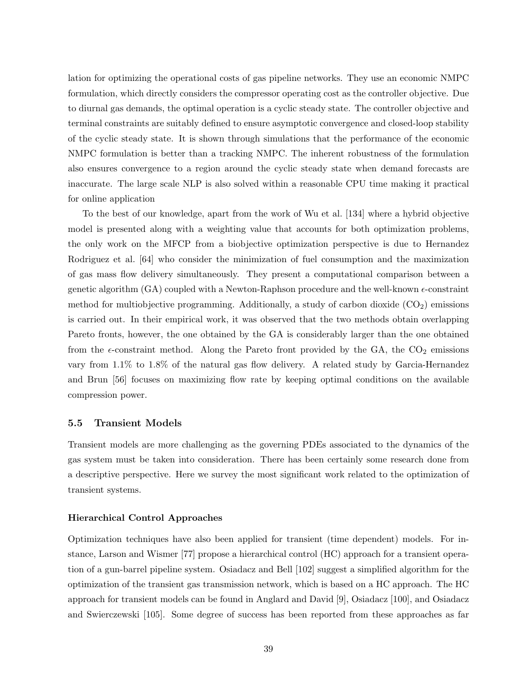lation for optimizing the operational costs of gas pipeline networks. They use an economic NMPC formulation, which directly considers the compressor operating cost as the controller objective. Due to diurnal gas demands, the optimal operation is a cyclic steady state. The controller objective and terminal constraints are suitably defined to ensure asymptotic convergence and closed-loop stability of the cyclic steady state. It is shown through simulations that the performance of the economic NMPC formulation is better than a tracking NMPC. The inherent robustness of the formulation also ensures convergence to a region around the cyclic steady state when demand forecasts are inaccurate. The large scale NLP is also solved within a reasonable CPU time making it practical for online application

To the best of our knowledge, apart from the work of Wu et al. [134] where a hybrid objective model is presented along with a weighting value that accounts for both optimization problems, the only work on the MFCP from a biobjective optimization perspective is due to Hernandez Rodriguez et al. [64] who consider the minimization of fuel consumption and the maximization of gas mass flow delivery simultaneously. They present a computational comparison between a genetic algorithm  $(GA)$  coupled with a Newton-Raphson procedure and the well-known  $\epsilon$ -constraint method for multiobjective programming. Additionally, a study of carbon dioxide  $(CO<sub>2</sub>)$  emissions is carried out. In their empirical work, it was observed that the two methods obtain overlapping Pareto fronts, however, the one obtained by the GA is considerably larger than the one obtained from the  $\epsilon$ -constraint method. Along the Pareto front provided by the GA, the CO<sub>2</sub> emissions vary from 1.1% to 1.8% of the natural gas flow delivery. A related study by Garcia-Hernandez and Brun [56] focuses on maximizing flow rate by keeping optimal conditions on the available compression power.

# 5.5 Transient Models

Transient models are more challenging as the governing PDEs associated to the dynamics of the gas system must be taken into consideration. There has been certainly some research done from a descriptive perspective. Here we survey the most significant work related to the optimization of transient systems.

# Hierarchical Control Approaches

Optimization techniques have also been applied for transient (time dependent) models. For instance, Larson and Wismer [77] propose a hierarchical control (HC) approach for a transient operation of a gun-barrel pipeline system. Osiadacz and Bell [102] suggest a simplified algorithm for the optimization of the transient gas transmission network, which is based on a HC approach. The HC approach for transient models can be found in Anglard and David [9], Osiadacz [100], and Osiadacz and Swierczewski [105]. Some degree of success has been reported from these approaches as far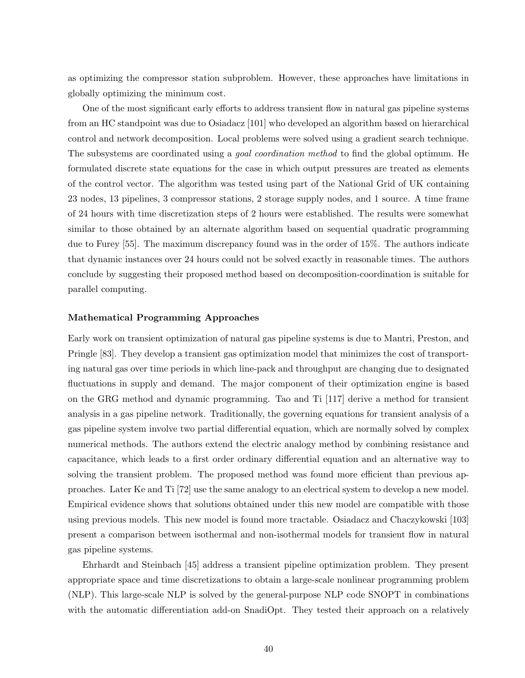as optimizing the compressor station subproblem. However, these approaches have limitations in globally optimizing the minimum cost.

One of the most significant early efforts to address transient flow in natural gas pipeline systems from an HC standpoint was due to Osiadacz [101] who developed an algorithm based on hierarchical control and network decomposition. Local problems were solved using a gradient search technique. The subsystems are coordinated using a *goal coordination method* to find the global optimum. He formulated discrete state equations for the case in which output pressures are treated as elements of the control vector. The algorithm was tested using part of the National Grid of UK containing 23 nodes, 13 pipelines, 3 compressor stations, 2 storage supply nodes, and 1 source. A time frame of 24 hours with time discretization steps of 2 hours were established. The results were somewhat similar to those obtained by an alternate algorithm based on sequential quadratic programming due to Furey [55]. The maximum discrepancy found was in the order of 15%. The authors indicate that dynamic instances over 24 hours could not be solved exactly in reasonable times. The authors conclude by suggesting their proposed method based on decomposition-coordination is suitable for parallel computing.

## Mathematical Programming Approaches

Early work on transient optimization of natural gas pipeline systems is due to Mantri, Preston, and Pringle [83]. They develop a transient gas optimization model that minimizes the cost of transporting natural gas over time periods in which line-pack and throughput are changing due to designated fluctuations in supply and demand. The major component of their optimization engine is based on the GRG method and dynamic programming. Tao and Ti [117] derive a method for transient analysis in a gas pipeline network. Traditionally, the governing equations for transient analysis of a gas pipeline system involve two partial differential equation, which are normally solved by complex numerical methods. The authors extend the electric analogy method by combining resistance and capacitance, which leads to a first order ordinary differential equation and an alternative way to solving the transient problem. The proposed method was found more efficient than previous approaches. Later Ke and Ti [72] use the same analogy to an electrical system to develop a new model. Empirical evidence shows that solutions obtained under this new model are compatible with those using previous models. This new model is found more tractable. Osiadacz and Chaczykowski [103] present a comparison between isothermal and non-isothermal models for transient flow in natural gas pipeline systems.

Ehrhardt and Steinbach [45] address a transient pipeline optimization problem. They present appropriate space and time discretizations to obtain a large-scale nonlinear programming problem (NLP). This large-scale NLP is solved by the general-purpose NLP code SNOPT in combinations with the automatic differentiation add-on SnadiOpt. They tested their approach on a relatively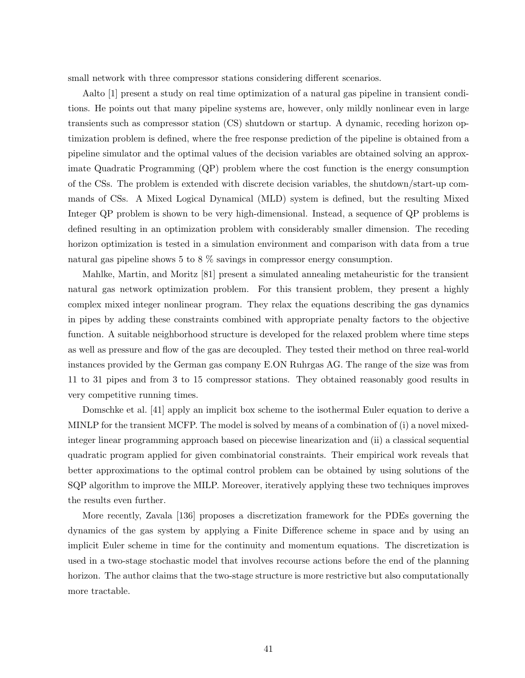small network with three compressor stations considering different scenarios.

Aalto [1] present a study on real time optimization of a natural gas pipeline in transient conditions. He points out that many pipeline systems are, however, only mildly nonlinear even in large transients such as compressor station (CS) shutdown or startup. A dynamic, receding horizon optimization problem is defined, where the free response prediction of the pipeline is obtained from a pipeline simulator and the optimal values of the decision variables are obtained solving an approximate Quadratic Programming (QP) problem where the cost function is the energy consumption of the CSs. The problem is extended with discrete decision variables, the shutdown/start-up commands of CSs. A Mixed Logical Dynamical (MLD) system is defined, but the resulting Mixed Integer QP problem is shown to be very high-dimensional. Instead, a sequence of QP problems is defined resulting in an optimization problem with considerably smaller dimension. The receding horizon optimization is tested in a simulation environment and comparison with data from a true natural gas pipeline shows 5 to 8 % savings in compressor energy consumption.

Mahlke, Martin, and Moritz [81] present a simulated annealing metaheuristic for the transient natural gas network optimization problem. For this transient problem, they present a highly complex mixed integer nonlinear program. They relax the equations describing the gas dynamics in pipes by adding these constraints combined with appropriate penalty factors to the objective function. A suitable neighborhood structure is developed for the relaxed problem where time steps as well as pressure and flow of the gas are decoupled. They tested their method on three real-world instances provided by the German gas company E.ON Ruhrgas AG. The range of the size was from 11 to 31 pipes and from 3 to 15 compressor stations. They obtained reasonably good results in very competitive running times.

Domschke et al. [41] apply an implicit box scheme to the isothermal Euler equation to derive a MINLP for the transient MCFP. The model is solved by means of a combination of (i) a novel mixedinteger linear programming approach based on piecewise linearization and (ii) a classical sequential quadratic program applied for given combinatorial constraints. Their empirical work reveals that better approximations to the optimal control problem can be obtained by using solutions of the SQP algorithm to improve the MILP. Moreover, iteratively applying these two techniques improves the results even further.

More recently, Zavala [136] proposes a discretization framework for the PDEs governing the dynamics of the gas system by applying a Finite Difference scheme in space and by using an implicit Euler scheme in time for the continuity and momentum equations. The discretization is used in a two-stage stochastic model that involves recourse actions before the end of the planning horizon. The author claims that the two-stage structure is more restrictive but also computationally more tractable.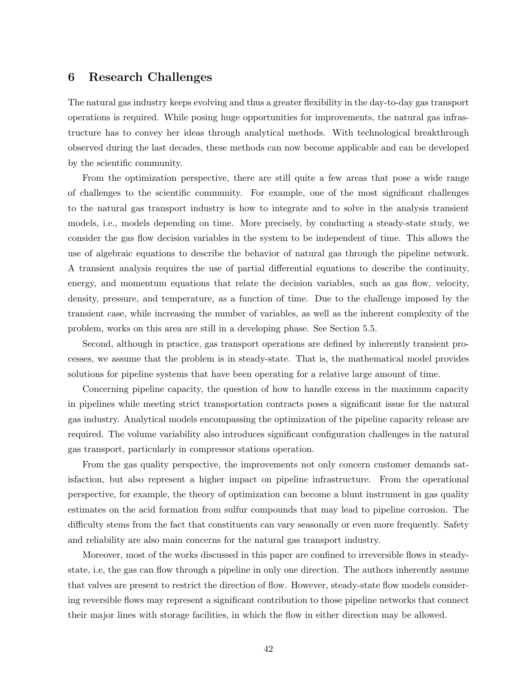# 6 Research Challenges

The natural gas industry keeps evolving and thus a greater flexibility in the day-to-day gas transport operations is required. While posing huge opportunities for improvements, the natural gas infrastructure has to convey her ideas through analytical methods. With technological breakthrough observed during the last decades, these methods can now become applicable and can be developed by the scientific community.

From the optimization perspective, there are still quite a few areas that pose a wide range of challenges to the scientific community. For example, one of the most significant challenges to the natural gas transport industry is how to integrate and to solve in the analysis transient models, i.e., models depending on time. More precisely, by conducting a steady-state study, we consider the gas flow decision variables in the system to be independent of time. This allows the use of algebraic equations to describe the behavior of natural gas through the pipeline network. A transient analysis requires the use of partial differential equations to describe the continuity, energy, and momentum equations that relate the decision variables, such as gas flow, velocity, density, pressure, and temperature, as a function of time. Due to the challenge imposed by the transient case, while increasing the number of variables, as well as the inherent complexity of the problem, works on this area are still in a developing phase. See Section 5.5.

Second, although in practice, gas transport operations are defined by inherently transient processes, we assume that the problem is in steady-state. That is, the mathematical model provides solutions for pipeline systems that have been operating for a relative large amount of time.

Concerning pipeline capacity, the question of how to handle excess in the maximum capacity in pipelines while meeting strict transportation contracts poses a significant issue for the natural gas industry. Analytical models encompassing the optimization of the pipeline capacity release are required. The volume variability also introduces significant configuration challenges in the natural gas transport, particularly in compressor stations operation.

From the gas quality perspective, the improvements not only concern customer demands satisfaction, but also represent a higher impact on pipeline infrastructure. From the operational perspective, for example, the theory of optimization can become a blunt instrument in gas quality estimates on the acid formation from sulfur compounds that may lead to pipeline corrosion. The difficulty stems from the fact that constituents can vary seasonally or even more frequently. Safety and reliability are also main concerns for the natural gas transport industry.

Moreover, most of the works discussed in this paper are confined to irreversible flows in steadystate, i.e, the gas can flow through a pipeline in only one direction. The authors inherently assume that valves are present to restrict the direction of flow. However, steady-state flow models considering reversible flows may represent a significant contribution to those pipeline networks that connect their major lines with storage facilities, in which the flow in either direction may be allowed.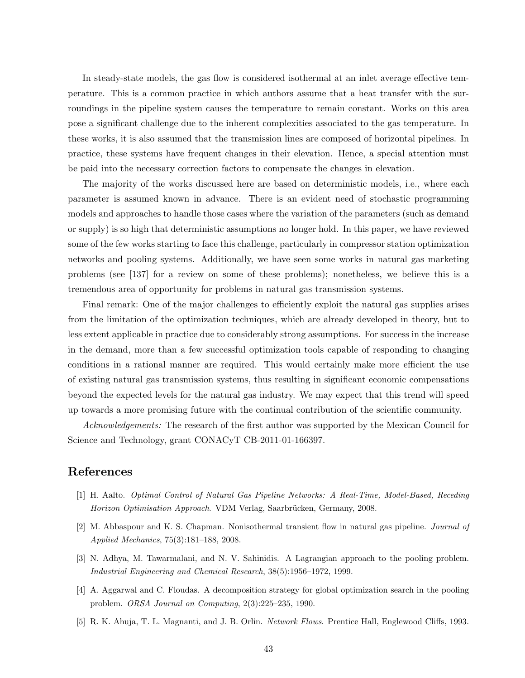In steady-state models, the gas flow is considered isothermal at an inlet average effective temperature. This is a common practice in which authors assume that a heat transfer with the surroundings in the pipeline system causes the temperature to remain constant. Works on this area pose a significant challenge due to the inherent complexities associated to the gas temperature. In these works, it is also assumed that the transmission lines are composed of horizontal pipelines. In practice, these systems have frequent changes in their elevation. Hence, a special attention must be paid into the necessary correction factors to compensate the changes in elevation.

The majority of the works discussed here are based on deterministic models, i.e., where each parameter is assumed known in advance. There is an evident need of stochastic programming models and approaches to handle those cases where the variation of the parameters (such as demand or supply) is so high that deterministic assumptions no longer hold. In this paper, we have reviewed some of the few works starting to face this challenge, particularly in compressor station optimization networks and pooling systems. Additionally, we have seen some works in natural gas marketing problems (see [137] for a review on some of these problems); nonetheless, we believe this is a tremendous area of opportunity for problems in natural gas transmission systems.

Final remark: One of the major challenges to efficiently exploit the natural gas supplies arises from the limitation of the optimization techniques, which are already developed in theory, but to less extent applicable in practice due to considerably strong assumptions. For success in the increase in the demand, more than a few successful optimization tools capable of responding to changing conditions in a rational manner are required. This would certainly make more efficient the use of existing natural gas transmission systems, thus resulting in significant economic compensations beyond the expected levels for the natural gas industry. We may expect that this trend will speed up towards a more promising future with the continual contribution of the scientific community.

*Acknowledgements:* The research of the first author was supported by the Mexican Council for Science and Technology, grant CONACyT CB-2011-01-166397.

# References

- [1] H. Aalto. *Optimal Control of Natural Gas Pipeline Networks: A Real-Time, Model-Based, Receding Horizon Optimisation Approach.* VDM Verlag, Saarbrücken, Germany, 2008.
- [2] M. Abbaspour and K. S. Chapman. Nonisothermal transient flow in natural gas pipeline. *Journal of Applied Mechanics*, 75(3):181–188, 2008.
- [3] N. Adhya, M. Tawarmalani, and N. V. Sahinidis. A Lagrangian approach to the pooling problem. *Industrial Engineering and Chemical Research*, 38(5):1956–1972, 1999.
- [4] A. Aggarwal and C. Floudas. A decomposition strategy for global optimization search in the pooling problem. *ORSA Journal on Computing*, 2(3):225–235, 1990.
- [5] R. K. Ahuja, T. L. Magnanti, and J. B. Orlin. *Network Flows*. Prentice Hall, Englewood Cliffs, 1993.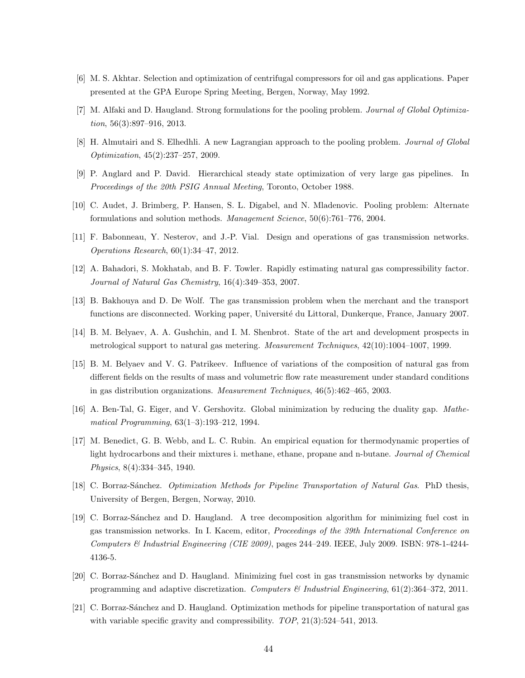- [6] M. S. Akhtar. Selection and optimization of centrifugal compressors for oil and gas applications. Paper presented at the GPA Europe Spring Meeting, Bergen, Norway, May 1992.
- [7] M. Alfaki and D. Haugland. Strong formulations for the pooling problem. *Journal of Global Optimization*, 56(3):897–916, 2013.
- [8] H. Almutairi and S. Elhedhli. A new Lagrangian approach to the pooling problem. *Journal of Global Optimization*, 45(2):237–257, 2009.
- [9] P. Anglard and P. David. Hierarchical steady state optimization of very large gas pipelines. In *Proceedings of the 20th PSIG Annual Meeting*, Toronto, October 1988.
- [10] C. Audet, J. Brimberg, P. Hansen, S. L. Digabel, and N. Mladenovic. Pooling problem: Alternate formulations and solution methods. *Management Science*, 50(6):761–776, 2004.
- [11] F. Babonneau, Y. Nesterov, and J.-P. Vial. Design and operations of gas transmission networks. *Operations Research*, 60(1):34–47, 2012.
- [12] A. Bahadori, S. Mokhatab, and B. F. Towler. Rapidly estimating natural gas compressibility factor. *Journal of Natural Gas Chemistry*, 16(4):349–353, 2007.
- [13] B. Bakhouya and D. De Wolf. The gas transmission problem when the merchant and the transport functions are disconnected. Working paper, Université du Littoral, Dunkerque, France, January 2007.
- [14] B. M. Belyaev, A. A. Gushchin, and I. M. Shenbrot. State of the art and development prospects in metrological support to natural gas metering. *Measurement Techniques*, 42(10):1004–1007, 1999.
- [15] B. M. Belyaev and V. G. Patrikeev. Influence of variations of the composition of natural gas from different fields on the results of mass and volumetric flow rate measurement under standard conditions in gas distribution organizations. *Measurement Techniques*, 46(5):462–465, 2003.
- [16] A. Ben-Tal, G. Eiger, and V. Gershovitz. Global minimization by reducing the duality gap. *Mathematical Programming*, 63(1–3):193–212, 1994.
- [17] M. Benedict, G. B. Webb, and L. C. Rubin. An empirical equation for thermodynamic properties of light hydrocarbons and their mixtures i. methane, ethane, propane and n-butane. *Journal of Chemical Physics*, 8(4):334–345, 1940.
- [18] C. Borraz-S´anchez. *Optimization Methods for Pipeline Transportation of Natural Gas*. PhD thesis, University of Bergen, Bergen, Norway, 2010.
- [19] C. Borraz-S´anchez and D. Haugland. A tree decomposition algorithm for minimizing fuel cost in gas transmission networks. In I. Kacem, editor, *Proceedings of the 39th International Conference on Computers & Industrial Engineering (CIE 2009)*, pages 244–249. IEEE, July 2009. ISBN: 978-1-4244- 4136-5.
- [20] C. Borraz-S´anchez and D. Haugland. Minimizing fuel cost in gas transmission networks by dynamic programming and adaptive discretization. *Computers & Industrial Engineering*, 61(2):364–372, 2011.
- [21] C. Borraz-Sánchez and D. Haugland. Optimization methods for pipeline transportation of natural gas with variable specific gravity and compressibility. *TOP*, 21(3):524–541, 2013.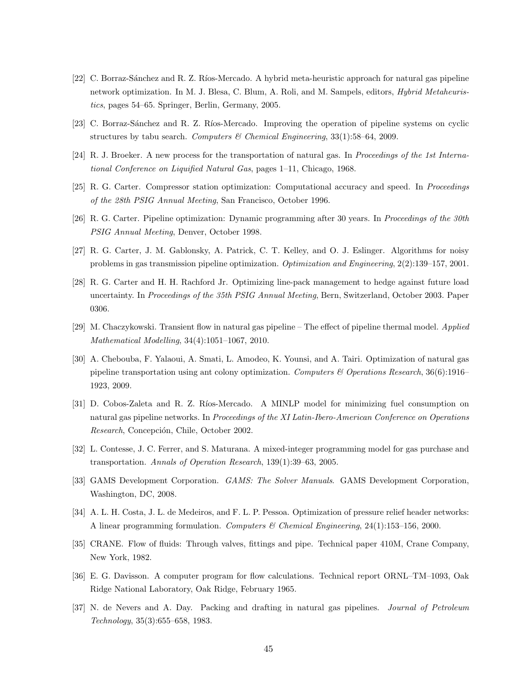- [22] C. Borraz-Sánchez and R. Z. Ríos-Mercado. A hybrid meta-heuristic approach for natural gas pipeline network optimization. In M. J. Blesa, C. Blum, A. Roli, and M. Sampels, editors, *Hybrid Metaheuristics*, pages 54–65. Springer, Berlin, Germany, 2005.
- [23] C. Borraz-Sánchez and R. Z. Ríos-Mercado. Improving the operation of pipeline systems on cyclic structures by tabu search. *Computers & Chemical Engineering*, 33(1):58–64, 2009.
- [24] R. J. Broeker. A new process for the transportation of natural gas. In *Proceedings of the 1st International Conference on Liquified Natural Gas*, pages 1–11, Chicago, 1968.
- [25] R. G. Carter. Compressor station optimization: Computational accuracy and speed. In *Proceedings of the 28th PSIG Annual Meeting*, San Francisco, October 1996.
- [26] R. G. Carter. Pipeline optimization: Dynamic programming after 30 years. In *Proceedings of the 30th PSIG Annual Meeting*, Denver, October 1998.
- [27] R. G. Carter, J. M. Gablonsky, A. Patrick, C. T. Kelley, and O. J. Eslinger. Algorithms for noisy problems in gas transmission pipeline optimization. *Optimization and Engineering*, 2(2):139–157, 2001.
- [28] R. G. Carter and H. H. Rachford Jr. Optimizing line-pack management to hedge against future load uncertainty. In *Proceedings of the 35th PSIG Annual Meeting*, Bern, Switzerland, October 2003. Paper 0306.
- [29] M. Chaczykowski. Transient flow in natural gas pipeline The effect of pipeline thermal model. *Applied Mathematical Modelling*, 34(4):1051–1067, 2010.
- [30] A. Chebouba, F. Yalaoui, A. Smati, L. Amodeo, K. Younsi, and A. Tairi. Optimization of natural gas pipeline transportation using ant colony optimization. *Computers & Operations Research*, 36(6):1916– 1923, 2009.
- [31] D. Cobos-Zaleta and R. Z. Ríos-Mercado. A MINLP model for minimizing fuel consumption on natural gas pipeline networks. In *Proceedings of the XI Latin-Ibero-American Conference on Operations Research*, Concepción, Chile, October 2002.
- [32] L. Contesse, J. C. Ferrer, and S. Maturana. A mixed-integer programming model for gas purchase and transportation. *Annals of Operation Research*, 139(1):39–63, 2005.
- [33] GAMS Development Corporation. *GAMS: The Solver Manuals*. GAMS Development Corporation, Washington, DC, 2008.
- [34] A. L. H. Costa, J. L. de Medeiros, and F. L. P. Pessoa. Optimization of pressure relief header networks: A linear programming formulation. *Computers & Chemical Engineering*, 24(1):153–156, 2000.
- [35] CRANE. Flow of fluids: Through valves, fittings and pipe. Technical paper 410M, Crane Company, New York, 1982.
- [36] E. G. Davisson. A computer program for flow calculations. Technical report ORNL–TM–1093, Oak Ridge National Laboratory, Oak Ridge, February 1965.
- [37] N. de Nevers and A. Day. Packing and drafting in natural gas pipelines. *Journal of Petroleum Technology*, 35(3):655–658, 1983.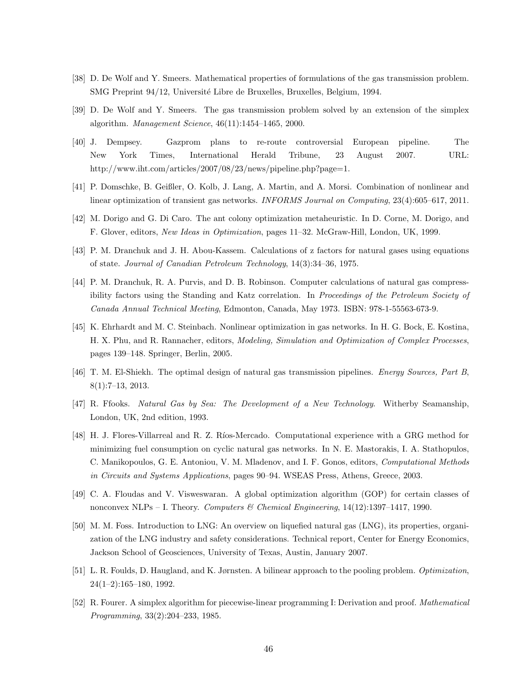- [38] D. De Wolf and Y. Smeers. Mathematical properties of formulations of the gas transmission problem. SMG Preprint 94/12, Université Libre de Bruxelles, Bruxelles, Belgium, 1994.
- [39] D. De Wolf and Y. Smeers. The gas transmission problem solved by an extension of the simplex algorithm. *Management Science*, 46(11):1454–1465, 2000.
- [40] J. Dempsey. Gazprom plans to re-route controversial European pipeline. The New York Times, International Herald Tribune, 23 August 2007. URL: http://www.iht.com/articles/2007/08/23/news/pipeline.php?page=1.
- [41] P. Domschke, B. Geißler, O. Kolb, J. Lang, A. Martin, and A. Morsi. Combination of nonlinear and linear optimization of transient gas networks. *INFORMS Journal on Computing*, 23(4):605–617, 2011.
- [42] M. Dorigo and G. Di Caro. The ant colony optimization metaheuristic. In D. Corne, M. Dorigo, and F. Glover, editors, *New Ideas in Optimization*, pages 11–32. McGraw-Hill, London, UK, 1999.
- [43] P. M. Dranchuk and J. H. Abou-Kassem. Calculations of z factors for natural gases using equations of state. *Journal of Canadian Petroleum Technology*, 14(3):34–36, 1975.
- [44] P. M. Dranchuk, R. A. Purvis, and D. B. Robinson. Computer calculations of natural gas compressibility factors using the Standing and Katz correlation. In *Proceedings of the Petroleum Society of Canada Annual Technical Meeting*, Edmonton, Canada, May 1973. ISBN: 978-1-55563-673-9.
- [45] K. Ehrhardt and M. C. Steinbach. Nonlinear optimization in gas networks. In H. G. Bock, E. Kostina, H. X. Phu, and R. Rannacher, editors, *Modeling, Simulation and Optimization of Complex Processes*, pages 139–148. Springer, Berlin, 2005.
- [46] T. M. El-Shiekh. The optimal design of natural gas transmission pipelines. *Energy Sources, Part B*, 8(1):7–13, 2013.
- [47] R. Ffooks. *Natural Gas by Sea: The Development of a New Technology*. Witherby Seamanship, London, UK, 2nd edition, 1993.
- [48] H. J. Flores-Villarreal and R. Z. Ríos-Mercado. Computational experience with a GRG method for minimizing fuel consumption on cyclic natural gas networks. In N. E. Mastorakis, I. A. Stathopulos, C. Manikopoulos, G. E. Antoniou, V. M. Mladenov, and I. F. Gonos, editors, *Computational Methods in Circuits and Systems Applications*, pages 90–94. WSEAS Press, Athens, Greece, 2003.
- [49] C. A. Floudas and V. Visweswaran. A global optimization algorithm (GOP) for certain classes of nonconvex NLPs – I. Theory. *Computers & Chemical Engineering*, 14(12):1397–1417, 1990.
- [50] M. M. Foss. Introduction to LNG: An overview on liquefied natural gas (LNG), its properties, organization of the LNG industry and safety considerations. Technical report, Center for Energy Economics, Jackson School of Geosciences, University of Texas, Austin, January 2007.
- [51] L. R. Foulds, D. Haugland, and K. Jørnsten. A bilinear approach to the pooling problem. *Optimization*, 24(1–2):165–180, 1992.
- [52] R. Fourer. A simplex algorithm for piecewise-linear programming I: Derivation and proof. *Mathematical Programming*, 33(2):204–233, 1985.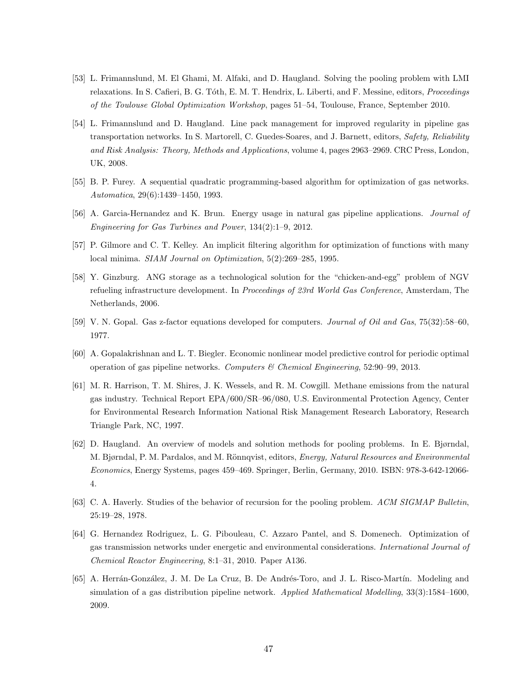- [53] L. Frimannslund, M. El Ghami, M. Alfaki, and D. Haugland. Solving the pooling problem with LMI relaxations. In S. Cafieri, B. G. T´oth, E. M. T. Hendrix, L. Liberti, and F. Messine, editors, *Proceedings of the Toulouse Global Optimization Workshop*, pages 51–54, Toulouse, France, September 2010.
- [54] L. Frimannslund and D. Haugland. Line pack management for improved regularity in pipeline gas transportation networks. In S. Martorell, C. Guedes-Soares, and J. Barnett, editors, *Safety, Reliability and Risk Analysis: Theory, Methods and Applications*, volume 4, pages 2963–2969. CRC Press, London, UK, 2008.
- [55] B. P. Furey. A sequential quadratic programming-based algorithm for optimization of gas networks. *Automatica*, 29(6):1439–1450, 1993.
- [56] A. Garcia-Hernandez and K. Brun. Energy usage in natural gas pipeline applications. *Journal of Engineering for Gas Turbines and Power*, 134(2):1–9, 2012.
- [57] P. Gilmore and C. T. Kelley. An implicit filtering algorithm for optimization of functions with many local minima. *SIAM Journal on Optimization*, 5(2):269–285, 1995.
- [58] Y. Ginzburg. ANG storage as a technological solution for the "chicken-and-egg" problem of NGV refueling infrastructure development. In *Proceedings of 23rd World Gas Conference*, Amsterdam, The Netherlands, 2006.
- [59] V. N. Gopal. Gas z-factor equations developed for computers. *Journal of Oil and Gas*, 75(32):58–60, 1977.
- [60] A. Gopalakrishnan and L. T. Biegler. Economic nonlinear model predictive control for periodic optimal operation of gas pipeline networks. *Computers & Chemical Engineering*, 52:90–99, 2013.
- [61] M. R. Harrison, T. M. Shires, J. K. Wessels, and R. M. Cowgill. Methane emissions from the natural gas industry. Technical Report EPA/600/SR–96/080, U.S. Environmental Protection Agency, Center for Environmental Research Information National Risk Management Research Laboratory, Research Triangle Park, NC, 1997.
- [62] D. Haugland. An overview of models and solution methods for pooling problems. In E. Bjørndal, M. Bjørndal, P. M. Pardalos, and M. Rönnqvist, editors, *Energy, Natural Resources and Environmental Economics*, Energy Systems, pages 459–469. Springer, Berlin, Germany, 2010. ISBN: 978-3-642-12066- 4.
- [63] C. A. Haverly. Studies of the behavior of recursion for the pooling problem. *ACM SIGMAP Bulletin*, 25:19–28, 1978.
- [64] G. Hernandez Rodriguez, L. G. Pibouleau, C. Azzaro Pantel, and S. Domenech. Optimization of gas transmission networks under energetic and environmental considerations. *International Journal of Chemical Reactor Engineering*, 8:1–31, 2010. Paper A136.
- [65] A. Herrán-González, J. M. De La Cruz, B. De Andrés-Toro, and J. L. Risco-Martín. Modeling and simulation of a gas distribution pipeline network. *Applied Mathematical Modelling*, 33(3):1584–1600, 2009.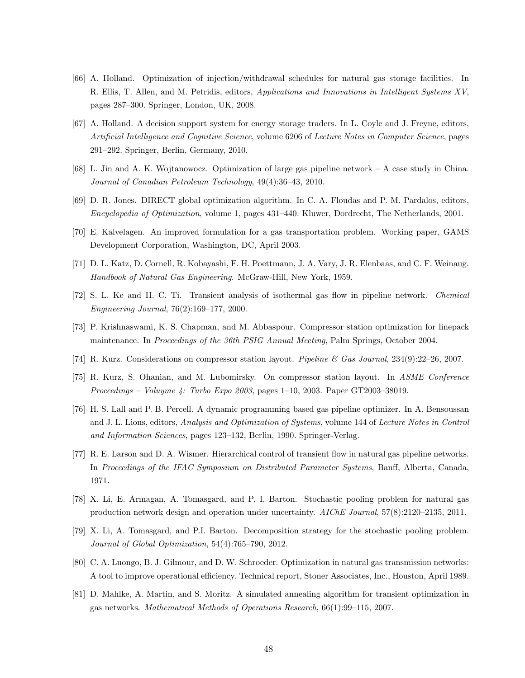- [66] A. Holland. Optimization of injection/withdrawal schedules for natural gas storage facilities. In R. Ellis, T. Allen, and M. Petridis, editors, *Applications and Innovations in Intelligent Systems XV*, pages 287–300. Springer, London, UK, 2008.
- [67] A. Holland. A decision support system for energy storage traders. In L. Coyle and J. Freyne, editors, *Artificial Intelligence and Cognitive Science*, volume 6206 of *Lecture Notes in Computer Science*, pages 291–292. Springer, Berlin, Germany, 2010.
- [68] L. Jin and A. K. Wojtanowocz. Optimization of large gas pipeline network A case study in China. *Journal of Canadian Petroleum Technology*, 49(4):36–43, 2010.
- [69] D. R. Jones. DIRECT global optimization algorithm. In C. A. Floudas and P. M. Pardalos, editors, *Encyclopedia of Optimization*, volume 1, pages 431–440. Kluwer, Dordrecht, The Netherlands, 2001.
- [70] E. Kalvelagen. An improved formulation for a gas transportation problem. Working paper, GAMS Development Corporation, Washington, DC, April 2003.
- [71] D. L. Katz, D. Cornell, R. Kobayashi, F. H. Poettmann, J. A. Vary, J. R. Elenbaas, and C. F. Weinaug. *Handbook of Natural Gas Engineering*. McGraw-Hill, New York, 1959.
- [72] S. L. Ke and H. C. Ti. Transient analysis of isothermal gas flow in pipeline network. *Chemical Engineering Journal*, 76(2):169–177, 2000.
- [73] P. Krishnaswami, K. S. Chapman, and M. Abbaspour. Compressor station optimization for linepack maintenance. In *Proceedings of the 36th PSIG Annual Meeting*, Palm Springs, October 2004.
- [74] R. Kurz. Considerations on compressor station layout. *Pipeline & Gas Journal*, 234(9):22–26, 2007.
- [75] R. Kurz, S. Ohanian, and M. Lubomirsky. On compressor station layout. In *ASME Conference Proceedings – Voluyme 4: Turbo Expo 2003*, pages 1–10, 2003. Paper GT2003–38019.
- [76] H. S. Lall and P. B. Percell. A dynamic programming based gas pipeline optimizer. In A. Bensoussan and J. L. Lions, editors, *Analysis and Optimization of Systems*, volume 144 of *Lecture Notes in Control and Information Sciences*, pages 123–132, Berlin, 1990. Springer-Verlag.
- [77] R. E. Larson and D. A. Wismer. Hierarchical control of transient flow in natural gas pipeline networks. In *Proceedings of the IFAC Symposium on Distributed Parameter Systems*, Banff, Alberta, Canada, 1971.
- [78] X. Li, E. Armagan, A. Tomasgard, and P. I. Barton. Stochastic pooling problem for natural gas production network design and operation under uncertainty. *AIChE Journal*, 57(8):2120–2135, 2011.
- [79] X. Li, A. Tomasgard, and P.I. Barton. Decomposition strategy for the stochastic pooling problem. *Journal of Global Optimization*, 54(4):765–790, 2012.
- [80] C. A. Luongo, B. J. Gilmour, and D. W. Schroeder. Optimization in natural gas transmission networks: A tool to improve operational efficiency. Technical report, Stoner Associates, Inc., Houston, April 1989.
- [81] D. Mahlke, A. Martin, and S. Moritz. A simulated annealing algorithm for transient optimization in gas networks. *Mathematical Methods of Operations Research*, 66(1):99–115, 2007.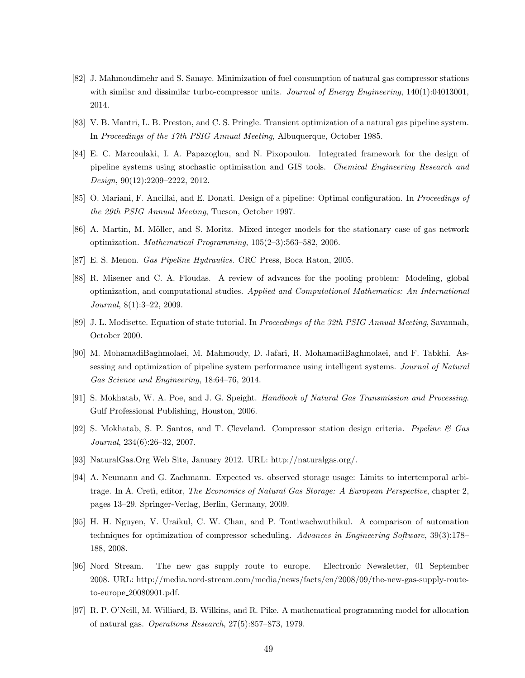- [82] J. Mahmoudimehr and S. Sanaye. Minimization of fuel consumption of natural gas compressor stations with similar and dissimilar turbo-compressor units. *Journal of Energy Engineering*, 140(1):04013001, 2014.
- [83] V. B. Mantri, L. B. Preston, and C. S. Pringle. Transient optimization of a natural gas pipeline system. In *Proceedings of the 17th PSIG Annual Meeting*, Albuquerque, October 1985.
- [84] E. C. Marcoulaki, I. A. Papazoglou, and N. Pixopoulou. Integrated framework for the design of pipeline systems using stochastic optimisation and GIS tools. *Chemical Engineering Research and Design*, 90(12):2209–2222, 2012.
- [85] O. Mariani, F. Ancillai, and E. Donati. Design of a pipeline: Optimal configuration. In *Proceedings of the 29th PSIG Annual Meeting*, Tucson, October 1997.
- [86] A. Martin, M. Möller, and S. Moritz. Mixed integer models for the stationary case of gas network optimization. *Mathematical Programming*, 105(2–3):563–582, 2006.
- [87] E. S. Menon. *Gas Pipeline Hydraulics*. CRC Press, Boca Raton, 2005.
- [88] R. Misener and C. A. Floudas. A review of advances for the pooling problem: Modeling, global optimization, and computational studies. *Applied and Computational Mathematics: An International Journal*, 8(1):3–22, 2009.
- [89] J. L. Modisette. Equation of state tutorial. In *Proceedings of the 32th PSIG Annual Meeting*, Savannah, October 2000.
- [90] M. MohamadiBaghmolaei, M. Mahmoudy, D. Jafari, R. MohamadiBaghmolaei, and F. Tabkhi. Assessing and optimization of pipeline system performance using intelligent systems. *Journal of Natural Gas Science and Engineering*, 18:64–76, 2014.
- [91] S. Mokhatab, W. A. Poe, and J. G. Speight. *Handbook of Natural Gas Transmission and Processing*. Gulf Professional Publishing, Houston, 2006.
- [92] S. Mokhatab, S. P. Santos, and T. Cleveland. Compressor station design criteria. *Pipeline & Gas Journal*, 234(6):26–32, 2007.
- [93] NaturalGas.Org Web Site, January 2012. URL: http://naturalgas.org/.
- [94] A. Neumann and G. Zachmann. Expected vs. observed storage usage: Limits to intertemporal arbitrage. In A. Creti, editor, *The Economics of Natural Gas Storage: A European Perspective*, chapter 2, pages 13–29. Springer-Verlag, Berlin, Germany, 2009.
- [95] H. H. Nguyen, V. Uraikul, C. W. Chan, and P. Tontiwachwuthikul. A comparison of automation techniques for optimization of compressor scheduling. *Advances in Engineering Software*, 39(3):178– 188, 2008.
- [96] Nord Stream. The new gas supply route to europe. Electronic Newsletter, 01 September 2008. URL: http://media.nord-stream.com/media/news/facts/en/2008/09/the-new-gas-supply-routeto-europe 20080901.pdf.
- [97] R. P. O'Neill, M. Williard, B. Wilkins, and R. Pike. A mathematical programming model for allocation of natural gas. *Operations Research*, 27(5):857–873, 1979.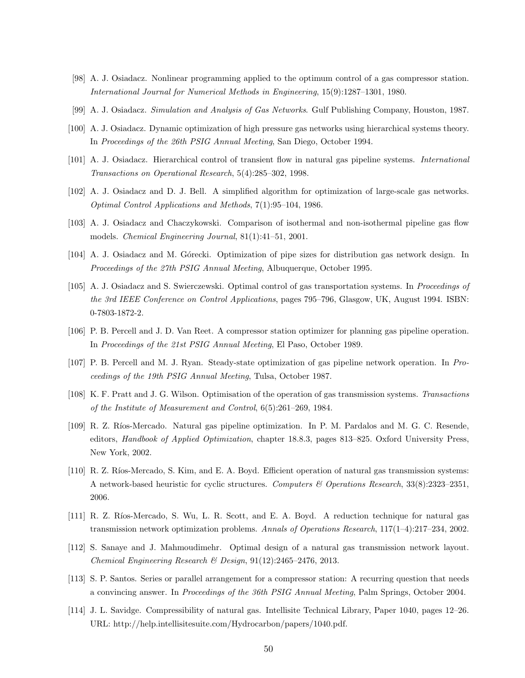- [98] A. J. Osiadacz. Nonlinear programming applied to the optimum control of a gas compressor station. *International Journal for Numerical Methods in Engineering*, 15(9):1287–1301, 1980.
- [99] A. J. Osiadacz. *Simulation and Analysis of Gas Networks*. Gulf Publishing Company, Houston, 1987.
- [100] A. J. Osiadacz. Dynamic optimization of high pressure gas networks using hierarchical systems theory. In *Proceedings of the 26th PSIG Annual Meeting*, San Diego, October 1994.
- [101] A. J. Osiadacz. Hierarchical control of transient flow in natural gas pipeline systems. *International Transactions on Operational Research*, 5(4):285–302, 1998.
- [102] A. J. Osiadacz and D. J. Bell. A simplified algorithm for optimization of large-scale gas networks. *Optimal Control Applications and Methods*, 7(1):95–104, 1986.
- [103] A. J. Osiadacz and Chaczykowski. Comparison of isothermal and non-isothermal pipeline gas flow models. *Chemical Engineering Journal*, 81(1):41–51, 2001.
- [104] A. J. Osiadacz and M. Górecki. Optimization of pipe sizes for distribution gas network design. In *Proceedings of the 27th PSIG Annual Meeting*, Albuquerque, October 1995.
- [105] A. J. Osiadacz and S. Swierczewski. Optimal control of gas transportation systems. In *Proceedings of the 3rd IEEE Conference on Control Applications*, pages 795–796, Glasgow, UK, August 1994. ISBN: 0-7803-1872-2.
- [106] P. B. Percell and J. D. Van Reet. A compressor station optimizer for planning gas pipeline operation. In *Proceedings of the 21st PSIG Annual Meeting*, El Paso, October 1989.
- [107] P. B. Percell and M. J. Ryan. Steady-state optimization of gas pipeline network operation. In *Proceedings of the 19th PSIG Annual Meeting*, Tulsa, October 1987.
- [108] K. F. Pratt and J. G. Wilson. Optimisation of the operation of gas transmission systems. *Transactions of the Institute of Measurement and Control*, 6(5):261–269, 1984.
- [109] R. Z. Ríos-Mercado. Natural gas pipeline optimization. In P. M. Pardalos and M. G. C. Resende, editors, *Handbook of Applied Optimization*, chapter 18.8.3, pages 813–825. Oxford University Press, New York, 2002.
- [110] R. Z. Ríos-Mercado, S. Kim, and E. A. Boyd. Efficient operation of natural gas transmission systems: A network-based heuristic for cyclic structures. *Computers & Operations Research*, 33(8):2323–2351, 2006.
- [111] R. Z. Ríos-Mercado, S. Wu, L. R. Scott, and E. A. Boyd. A reduction technique for natural gas transmission network optimization problems. *Annals of Operations Research*, 117(1–4):217–234, 2002.
- [112] S. Sanaye and J. Mahmoudimehr. Optimal design of a natural gas transmission network layout. *Chemical Engineering Research & Design*, 91(12):2465–2476, 2013.
- [113] S. P. Santos. Series or parallel arrangement for a compressor station: A recurring question that needs a convincing answer. In *Proceedings of the 36th PSIG Annual Meeting*, Palm Springs, October 2004.
- [114] J. L. Savidge. Compressibility of natural gas. Intellisite Technical Library, Paper 1040, pages 12–26. URL: http://help.intellisitesuite.com/Hydrocarbon/papers/1040.pdf.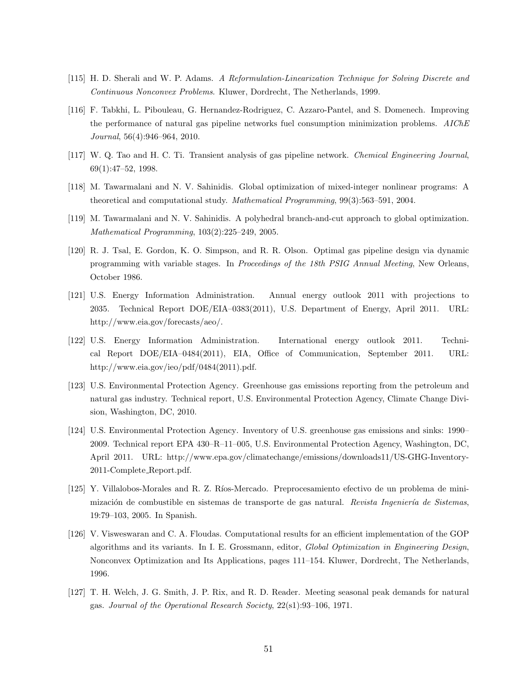- [115] H. D. Sherali and W. P. Adams. *A Reformulation-Linearization Technique for Solving Discrete and Continuous Nonconvex Problems*. Kluwer, Dordrecht, The Netherlands, 1999.
- [116] F. Tabkhi, L. Pibouleau, G. Hernandez-Rodriguez, C. Azzaro-Pantel, and S. Domenech. Improving the performance of natural gas pipeline networks fuel consumption minimization problems. *AIChE Journal*, 56(4):946–964, 2010.
- [117] W. Q. Tao and H. C. Ti. Transient analysis of gas pipeline network. *Chemical Engineering Journal*, 69(1):47–52, 1998.
- [118] M. Tawarmalani and N. V. Sahinidis. Global optimization of mixed-integer nonlinear programs: A theoretical and computational study. *Mathematical Programming*, 99(3):563–591, 2004.
- [119] M. Tawarmalani and N. V. Sahinidis. A polyhedral branch-and-cut approach to global optimization. *Mathematical Programming*, 103(2):225–249, 2005.
- [120] R. J. Tsal, E. Gordon, K. O. Simpson, and R. R. Olson. Optimal gas pipeline design via dynamic programming with variable stages. In *Proceedings of the 18th PSIG Annual Meeting*, New Orleans, October 1986.
- [121] U.S. Energy Information Administration. Annual energy outlook 2011 with projections to 2035. Technical Report DOE/EIA–0383(2011), U.S. Department of Energy, April 2011. URL: http://www.eia.gov/forecasts/aeo/.
- [122] U.S. Energy Information Administration. International energy outlook 2011. Technical Report DOE/EIA–0484(2011), EIA, Office of Communication, September 2011. URL: http://www.eia.gov/ieo/pdf/0484(2011).pdf.
- [123] U.S. Environmental Protection Agency. Greenhouse gas emissions reporting from the petroleum and natural gas industry. Technical report, U.S. Environmental Protection Agency, Climate Change Division, Washington, DC, 2010.
- [124] U.S. Environmental Protection Agency. Inventory of U.S. greenhouse gas emissions and sinks: 1990– 2009. Technical report EPA 430–R–11–005, U.S. Environmental Protection Agency, Washington, DC, April 2011. URL: http://www.epa.gov/climatechange/emissions/downloads11/US-GHG-Inventory-2011-Complete Report.pdf.
- [125] Y. Villalobos-Morales and R. Z. Ríos-Mercado. Preprocesamiento efectivo de un problema de minimización de combustible en sistemas de transporte de gas natural. *Revista Ingeniería de Sistemas*, 19:79–103, 2005. In Spanish.
- [126] V. Visweswaran and C. A. Floudas. Computational results for an efficient implementation of the GOP algorithms and its variants. In I. E. Grossmann, editor, *Global Optimization in Engineering Design*, Nonconvex Optimization and Its Applications, pages 111–154. Kluwer, Dordrecht, The Netherlands, 1996.
- [127] T. H. Welch, J. G. Smith, J. P. Rix, and R. D. Reader. Meeting seasonal peak demands for natural gas. *Journal of the Operational Research Society*, 22(s1):93–106, 1971.